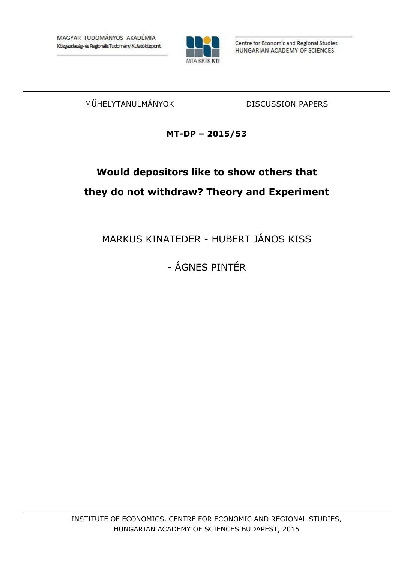

Centre for Economic and Regional Studies HUNGARIAN ACADEMY OF SCIENCES

MŰHELYTANULMÁNYOK DISCUSSION PAPERS

## **MT-DP – 2015/53**

# **Would depositors like to show others that they do not withdraw? Theory and Experiment**

MARKUS KINATEDER - HUBERT JÁNOS KISS

- ÁGNES PINTÉR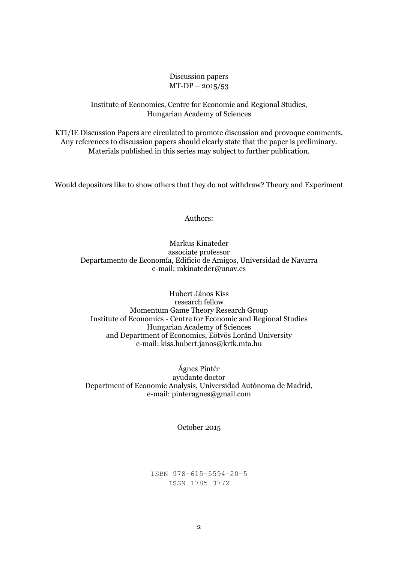Discussion papers  $MT-DP - 2015/53$ 

#### Institute of Economics, Centre for Economic and Regional Studies, Hungarian Academy of Sciences

KTI/IE Discussion Papers are circulated to promote discussion and provoque comments. Any references to discussion papers should clearly state that the paper is preliminary. Materials published in this series may subject to further publication.

Would depositors like to show others that they do not withdraw? Theory and Experiment

Authors:

#### Markus Kinateder associate professor Departamento de Economía, Edificio de Amigos, Universidad de Navarra e-mail: mkinateder@unav.es

Hubert János Kiss research fellow Momentum Game Theory Research Group Institute of Economics - Centre for Economic and Regional Studies Hungarian Academy of Sciences and Department of Economics, Eötvös Loránd University e-mail: kiss.hubert.janos@krtk.mta.hu

Ágnes Pintér ayudante doctor Department of Economic Analysis, Universidad Autónoma de Madrid, e-mail: pinteragnes@gmail.com

October 2015

ISBN 978-615-5594-20-5 ISSN 1785 377X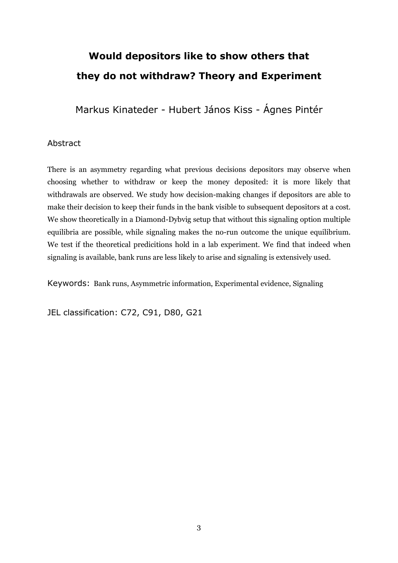# **Would depositors like to show others that they do not withdraw? Theory and Experiment**

Markus Kinateder - Hubert János Kiss - Ágnes Pintér

### Abstract

There is an asymmetry regarding what previous decisions depositors may observe when choosing whether to withdraw or keep the money deposited: it is more likely that withdrawals are observed. We study how decision-making changes if depositors are able to make their decision to keep their funds in the bank visible to subsequent depositors at a cost. We show theoretically in a Diamond-Dybvig setup that without this signaling option multiple equilibria are possible, while signaling makes the no-run outcome the unique equilibrium. We test if the theoretical predicitions hold in a lab experiment. We find that indeed when signaling is available, bank runs are less likely to arise and signaling is extensively used.

Keywords: Bank runs, Asymmetric information, Experimental evidence, Signaling

JEL classification: C72, C91, D80, G21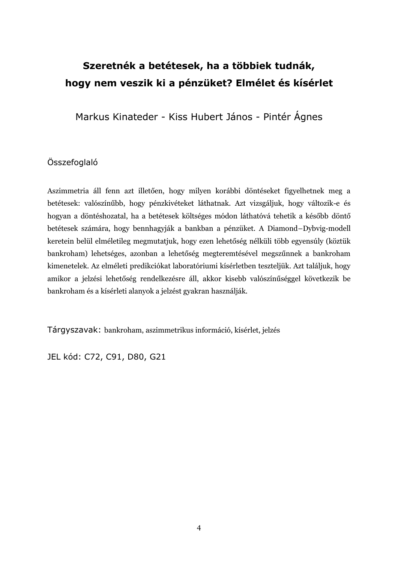## **Szeretnék a betétesek, ha a többiek tudnák, hogy nem veszik ki a pénzüket? Elmélet és kísérlet**

Markus Kinateder - Kiss Hubert János - Pintér Ágnes

## Összefoglaló

Aszimmetria áll fenn azt illetően, hogy milyen korábbi döntéseket figyelhetnek meg a betétesek: valószínűbb, hogy pénzkivéteket láthatnak. Azt vizsgáljuk, hogy változik-e és hogyan a döntéshozatal, ha a betétesek költséges módon láthatóvá tehetik a később döntő betétesek számára, hogy bennhagyják a bankban a pénzüket. A Diamond–Dybvig-modell keretein belül elméletileg megmutatjuk, hogy ezen lehetőség nélküli több egyensúly (köztük bankroham) lehetséges, azonban a lehetőség megteremtésével megszűnnek a bankroham kimenetelek. Az elméleti predikciókat laboratóriumi kísérletben teszteljük. Azt találjuk, hogy amikor a jelzési lehetőség rendelkezésre áll, akkor kisebb valószínűséggel következik be bankroham és a kísérleti alanyok a jelzést gyakran használják.

Tárgyszavak: bankroham, aszimmetrikus információ, kísérlet, jelzés

JEL kód: C72, C91, D80, G21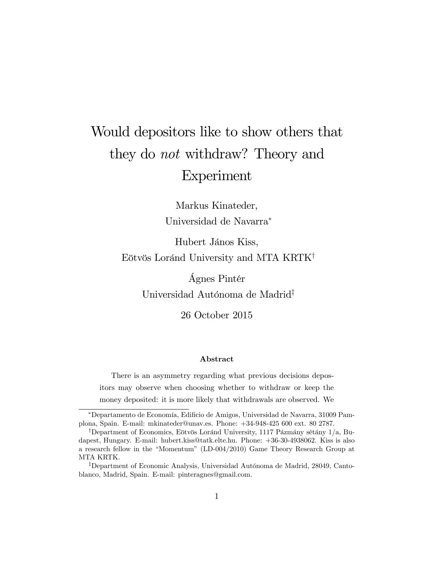# Would depositors like to show others that they do not withdraw? Theory and Experiment

Markus Kinateder, Universidad de Navarra

Hubert János Kiss, Eötvös Loránd University and MTA KRTK<sup>†</sup>

> £gnes PintÈr Universidad Autónoma de Madrid<sup>‡</sup>

> > 26 October 2015

#### Abstract

There is an asymmetry regarding what previous decisions depositors may observe when choosing whether to withdraw or keep the money deposited: it is more likely that withdrawals are observed. We

Departamento de EconomÌa, EdiÖcio de Amigos, Universidad de Navarra, 31009 Pamplona, Spain. E-mail: mkinateder@unav.es. Phone: +34-948-425 600 ext. 80 2787.

<sup>&</sup>lt;sup>†</sup>Department of Economics, Eötvös Loránd University, 1117 Pázmány sétány 1/a, Budapest, Hungary. E-mail: hubert.kiss@tatk.elte.hu. Phone: +36-30-4938062. Kiss is also a research fellow in the "Momentum" (LD-004/2010) Game Theory Research Group at MTA KRTK.

<sup>&</sup>lt;sup>‡</sup>Department of Economic Analysis, Universidad Autónoma de Madrid, 28049, Cantoblanco, Madrid, Spain. E-mail: pinteragnes@gmail.com.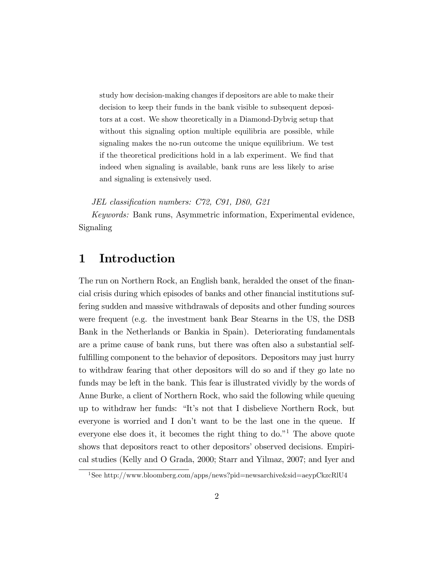study how decision-making changes if depositors are able to make their decision to keep their funds in the bank visible to subsequent depositors at a cost. We show theoretically in a Diamond-Dybvig setup that without this signaling option multiple equilibria are possible, while signaling makes the no-run outcome the unique equilibrium. We test if the theoretical predicitions hold in a lab experiment. We find that indeed when signaling is available, bank runs are less likely to arise and signaling is extensively used.

JEL classification numbers: C72, C91, D80, G21

Keywords: Bank runs, Asymmetric information, Experimental evidence, Signaling

## 1 Introduction

The run on Northern Rock, an English bank, heralded the onset of the financial crisis during which episodes of banks and other financial institutions suffering sudden and massive withdrawals of deposits and other funding sources were frequent (e.g. the investment bank Bear Stearns in the US, the DSB Bank in the Netherlands or Bankia in Spain). Deteriorating fundamentals are a prime cause of bank runs, but there was often also a substantial selffulfilling component to the behavior of depositors. Depositors may just hurry to withdraw fearing that other depositors will do so and if they go late no funds may be left in the bank. This fear is illustrated vividly by the words of Anne Burke, a client of Northern Rock, who said the following while queuing up to withdraw her funds: "It's not that I disbelieve Northern Rock, but everyone is worried and I don't want to be the last one in the queue. If everyone else does it, it becomes the right thing to do.<sup> $n<sup>1</sup>$ </sup> The above quote shows that depositors react to other depositors' observed decisions. Empirical studies (Kelly and O Grada, 2000; Starr and Yilmaz, 2007; and Iyer and

<sup>1</sup>See http://www.bloomberg.com/apps/news?pid=newsarchive&sid=aeypCkzcRlU4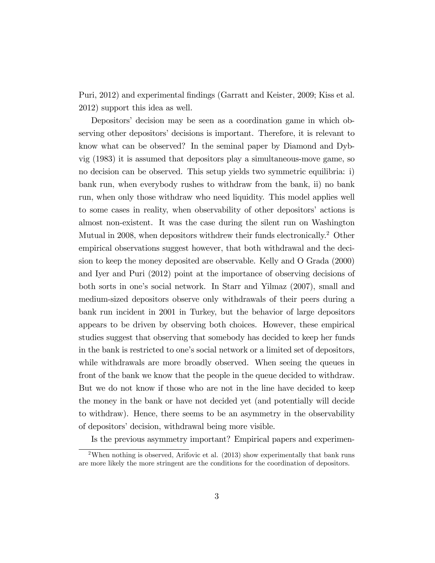Puri, 2012) and experimental Öndings (Garratt and Keister, 2009; Kiss et al. 2012) support this idea as well.

Depositors' decision may be seen as a coordination game in which observing other depositors' decisions is important. Therefore, it is relevant to know what can be observed? In the seminal paper by Diamond and Dybvig (1983) it is assumed that depositors play a simultaneous-move game, so no decision can be observed. This setup yields two symmetric equilibria: i) bank run, when everybody rushes to withdraw from the bank, ii) no bank run, when only those withdraw who need liquidity. This model applies well to some cases in reality, when observability of other depositorsí actions is almost non-existent. It was the case during the silent run on Washington Mutual in 2008, when depositors withdrew their funds electronically.<sup>2</sup> Other empirical observations suggest however, that both withdrawal and the decision to keep the money deposited are observable. Kelly and O Grada (2000) and Iyer and Puri (2012) point at the importance of observing decisions of both sorts in one's social network. In Starr and Yilmaz (2007), small and medium-sized depositors observe only withdrawals of their peers during a bank run incident in 2001 in Turkey, but the behavior of large depositors appears to be driven by observing both choices. However, these empirical studies suggest that observing that somebody has decided to keep her funds in the bank is restricted to one's social network or a limited set of depositors, while withdrawals are more broadly observed. When seeing the queues in front of the bank we know that the people in the queue decided to withdraw. But we do not know if those who are not in the line have decided to keep the money in the bank or have not decided yet (and potentially will decide to withdraw). Hence, there seems to be an asymmetry in the observability of depositors' decision, withdrawal being more visible.

Is the previous asymmetry important? Empirical papers and experimen-

<sup>&</sup>lt;sup>2</sup>When nothing is observed, Arifovic et al.  $(2013)$  show experimentally that bank runs are more likely the more stringent are the conditions for the coordination of depositors.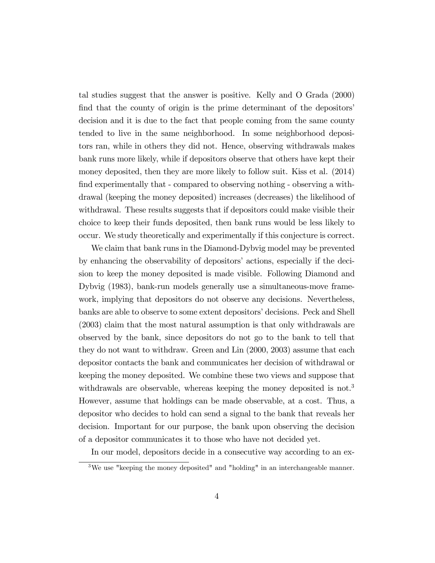tal studies suggest that the answer is positive. Kelly and O Grada (2000) find that the county of origin is the prime determinant of the depositors' decision and it is due to the fact that people coming from the same county tended to live in the same neighborhood. In some neighborhood depositors ran, while in others they did not. Hence, observing withdrawals makes bank runs more likely, while if depositors observe that others have kept their money deposited, then they are more likely to follow suit. Kiss et al. (2014) find experimentally that - compared to observing nothing - observing a withdrawal (keeping the money deposited) increases (decreases) the likelihood of withdrawal. These results suggests that if depositors could make visible their choice to keep their funds deposited, then bank runs would be less likely to occur. We study theoretically and experimentally if this conjecture is correct.

We claim that bank runs in the Diamond-Dybvig model may be prevented by enhancing the observability of depositors' actions, especially if the decision to keep the money deposited is made visible. Following Diamond and Dybvig (1983), bank-run models generally use a simultaneous-move framework, implying that depositors do not observe any decisions. Nevertheless, banks are able to observe to some extent depositors' decisions. Peck and Shell (2003) claim that the most natural assumption is that only withdrawals are observed by the bank, since depositors do not go to the bank to tell that they do not want to withdraw. Green and Lin (2000, 2003) assume that each depositor contacts the bank and communicates her decision of withdrawal or keeping the money deposited. We combine these two views and suppose that withdrawals are observable, whereas keeping the money deposited is not.<sup>3</sup> However, assume that holdings can be made observable, at a cost. Thus, a depositor who decides to hold can send a signal to the bank that reveals her decision. Important for our purpose, the bank upon observing the decision of a depositor communicates it to those who have not decided yet.

In our model, depositors decide in a consecutive way according to an ex-

<sup>&</sup>lt;sup>3</sup>We use "keeping the money deposited" and "holding" in an interchangeable manner.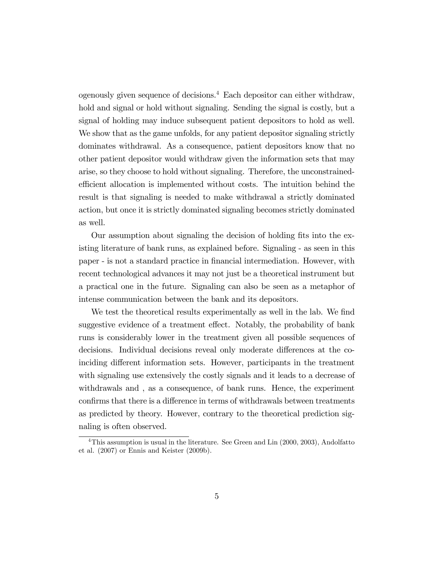ogenously given sequence of decisions.<sup>4</sup> Each depositor can either withdraw, hold and signal or hold without signaling. Sending the signal is costly, but a signal of holding may induce subsequent patient depositors to hold as well. We show that as the game unfolds, for any patient depositor signaling strictly dominates withdrawal. As a consequence, patient depositors know that no other patient depositor would withdraw given the information sets that may arise, so they choose to hold without signaling. Therefore, the unconstrainedefficient allocation is implemented without costs. The intuition behind the result is that signaling is needed to make withdrawal a strictly dominated action, but once it is strictly dominated signaling becomes strictly dominated as well.

Our assumption about signaling the decision of holding fits into the existing literature of bank runs, as explained before. Signaling - as seen in this paper - is not a standard practice in Önancial intermediation. However, with recent technological advances it may not just be a theoretical instrument but a practical one in the future. Signaling can also be seen as a metaphor of intense communication between the bank and its depositors.

We test the theoretical results experimentally as well in the lab. We find suggestive evidence of a treatment effect. Notably, the probability of bank runs is considerably lower in the treatment given all possible sequences of decisions. Individual decisions reveal only moderate differences at the coinciding different information sets. However, participants in the treatment with signaling use extensively the costly signals and it leads to a decrease of withdrawals and , as a consequence, of bank runs. Hence, the experiment confirms that there is a difference in terms of withdrawals between treatments as predicted by theory. However, contrary to the theoretical prediction signaling is often observed.

<sup>&</sup>lt;sup>4</sup>This assumption is usual in the literature. See Green and Lin (2000, 2003), Andolfatto et al. (2007) or Ennis and Keister (2009b).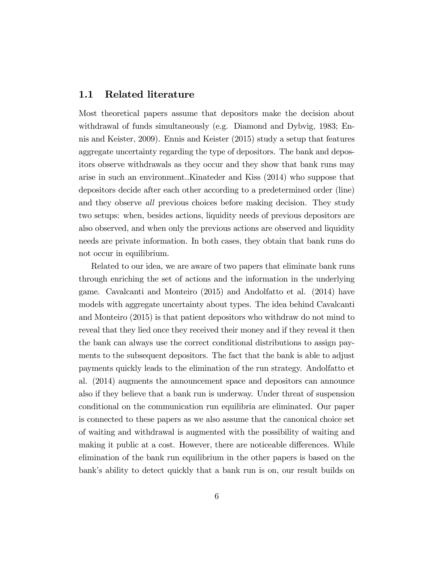#### 1.1 Related literature

Most theoretical papers assume that depositors make the decision about withdrawal of funds simultaneously (e.g. Diamond and Dybvig, 1983; Ennis and Keister, 2009). Ennis and Keister (2015) study a setup that features aggregate uncertainty regarding the type of depositors. The bank and depositors observe withdrawals as they occur and they show that bank runs may arise in such an environment..Kinateder and Kiss (2014) who suppose that depositors decide after each other according to a predetermined order (line) and they observe all previous choices before making decision. They study two setups: when, besides actions, liquidity needs of previous depositors are also observed, and when only the previous actions are observed and liquidity needs are private information. In both cases, they obtain that bank runs do not occur in equilibrium.

Related to our idea, we are aware of two papers that eliminate bank runs through enriching the set of actions and the information in the underlying game. Cavalcanti and Monteiro (2015) and Andolfatto et al. (2014) have models with aggregate uncertainty about types. The idea behind Cavalcanti and Monteiro (2015) is that patient depositors who withdraw do not mind to reveal that they lied once they received their money and if they reveal it then the bank can always use the correct conditional distributions to assign payments to the subsequent depositors. The fact that the bank is able to adjust payments quickly leads to the elimination of the run strategy. Andolfatto et al. (2014) augments the announcement space and depositors can announce also if they believe that a bank run is underway. Under threat of suspension conditional on the communication run equilibria are eliminated. Our paper is connected to these papers as we also assume that the canonical choice set of waiting and withdrawal is augmented with the possibility of waiting and making it public at a cost. However, there are noticeable differences. While elimination of the bank run equilibrium in the other papers is based on the bank's ability to detect quickly that a bank run is on, our result builds on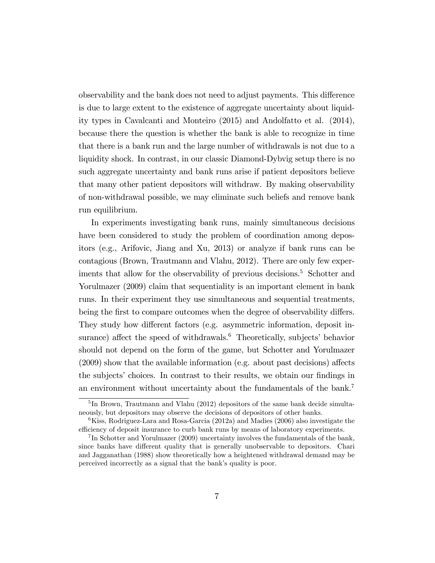observability and the bank does not need to adjust payments. This difference is due to large extent to the existence of aggregate uncertainty about liquidity types in Cavalcanti and Monteiro (2015) and Andolfatto et al. (2014), because there the question is whether the bank is able to recognize in time that there is a bank run and the large number of withdrawals is not due to a liquidity shock. In contrast, in our classic Diamond-Dybvig setup there is no such aggregate uncertainty and bank runs arise if patient depositors believe that many other patient depositors will withdraw. By making observability of non-withdrawal possible, we may eliminate such beliefs and remove bank run equilibrium.

In experiments investigating bank runs, mainly simultaneous decisions have been considered to study the problem of coordination among depositors (e.g., Arifovic, Jiang and Xu, 2013) or analyze if bank runs can be contagious (Brown, Trautmann and Vlahu, 2012). There are only few experiments that allow for the observability of previous decisions.<sup>5</sup> Schotter and Yorulmazer  $(2009)$  claim that sequentiality is an important element in bank runs. In their experiment they use simultaneous and sequential treatments, being the first to compare outcomes when the degree of observability differs. They study how different factors (e.g. asymmetric information, deposit insurance) affect the speed of withdrawals. $6$  Theoretically, subjects' behavior should not depend on the form of the game, but Schotter and Yorulmazer  $(2009)$  show that the available information (e.g. about past decisions) affects the subjects' choices. In contrast to their results, we obtain our findings in an environment without uncertainty about the fundamentals of the bank.<sup>7</sup>

<sup>&</sup>lt;sup>5</sup>In Brown, Trautmann and Vlahu (2012) depositors of the same bank decide simultaneously, but depositors may observe the decisions of depositors of other banks.

 $6$ Kiss, Rodriguez-Lara and Rosa-Garcia (2012a) and Madies (2006) also investigate the efficiency of deposit insurance to curb bank runs by means of laboratory experiments.

<sup>&</sup>lt;sup>7</sup>In Schotter and Yorulmazer (2009) uncertainty involves the fundamentals of the bank, since banks have different quality that is generally unobservable to depositors. Chari and Jagganathan (1988) show theoretically how a heightened withdrawal demand may be perceived incorrectly as a signal that the bank's quality is poor.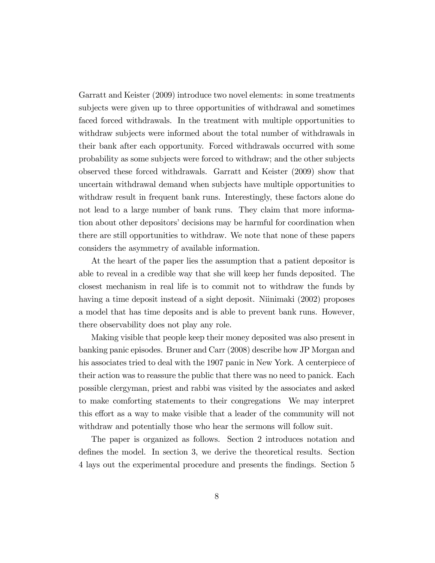Garratt and Keister (2009) introduce two novel elements: in some treatments subjects were given up to three opportunities of withdrawal and sometimes faced forced withdrawals. In the treatment with multiple opportunities to withdraw subjects were informed about the total number of withdrawals in their bank after each opportunity. Forced withdrawals occurred with some probability as some subjects were forced to withdraw; and the other subjects observed these forced withdrawals. Garratt and Keister (2009) show that uncertain withdrawal demand when subjects have multiple opportunities to withdraw result in frequent bank runs. Interestingly, these factors alone do not lead to a large number of bank runs. They claim that more information about other depositors' decisions may be harmful for coordination when there are still opportunities to withdraw. We note that none of these papers considers the asymmetry of available information.

At the heart of the paper lies the assumption that a patient depositor is able to reveal in a credible way that she will keep her funds deposited. The closest mechanism in real life is to commit not to withdraw the funds by having a time deposit instead of a sight deposit. Niinimaki (2002) proposes a model that has time deposits and is able to prevent bank runs. However, there observability does not play any role.

Making visible that people keep their money deposited was also present in banking panic episodes. Bruner and Carr (2008) describe how JP Morgan and his associates tried to deal with the 1907 panic in New York. A centerpiece of their action was to reassure the public that there was no need to panick. Each possible clergyman, priest and rabbi was visited by the associates and asked to make comforting statements to their congregations We may interpret this effort as a way to make visible that a leader of the community will not withdraw and potentially those who hear the sermons will follow suit.

The paper is organized as follows. Section 2 introduces notation and defines the model. In section 3, we derive the theoretical results. Section 4 lays out the experimental procedure and presents the Öndings. Section 5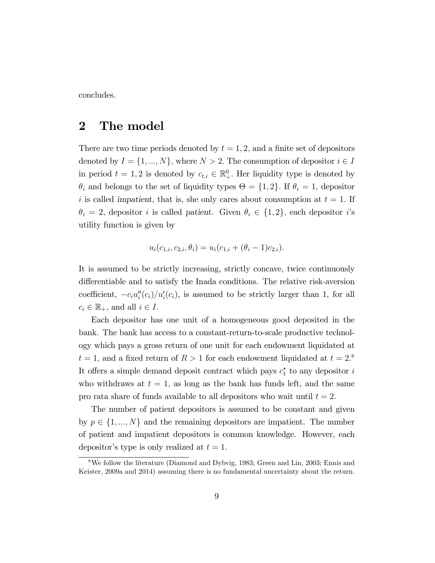concludes.

## 2 The model

There are two time periods denoted by  $t = 1, 2$ , and a finite set of depositors denoted by  $I = \{1, ..., N\}$ , where  $N > 2$ . The consumption of depositor  $i \in I$ in period  $t = 1, 2$  is denoted by  $c_{t,i} \in \mathbb{R}_+^0$ . Her liquidity type is denoted by  $\theta_i$  and belongs to the set of liquidity types  $\Theta = \{1, 2\}$ . If  $\theta_i = 1$ , depositor i is called impatient, that is, she only cares about consumption at  $t = 1$ . If  $\theta_i = 2$ , depositor i is called patient. Given  $\theta_i \in \{1, 2\}$ , each depositor i's utility function is given by

$$
u_i(c_{1,i}, c_{2,i}, \theta_i) = u_i(c_{1,i} + (\theta_i - 1)c_{2,i}).
$$

It is assumed to be strictly increasing, strictly concave, twice continuously differentiable and to satisfy the Inada conditions. The relative risk-aversion coefficient,  $-c_i u''_i(c_i)/u'_i(c_i)$ , is assumed to be strictly larger than 1, for all  $c_i \in \mathbb{R}_+$ , and all  $i \in I$ .

Each depositor has one unit of a homogeneous good deposited in the bank. The bank has access to a constant-return-to-scale productive technology which pays a gross return of one unit for each endowment liquidated at  $t = 1$ , and a fixed return of  $R > 1$  for each endowment liquidated at  $t = 2$ <sup>8</sup> It offers a simple demand deposit contract which pays  $c_1^*$  to any depositor i who withdraws at  $t = 1$ , as long as the bank has funds left, and the same pro rata share of funds available to all depositors who wait until  $t = 2$ .

The number of patient depositors is assumed to be constant and given by  $p \in \{1, ..., N\}$  and the remaining depositors are impatient. The number of patient and impatient depositors is common knowledge. However, each depositor's type is only realized at  $t = 1$ .

<sup>8</sup>We follow the literature (Diamond and Dybvig, 1983; Green and Lin, 2003; Ennis and Keister, 2009a and 2014) assuming there is no fundamental uncertainty about the return.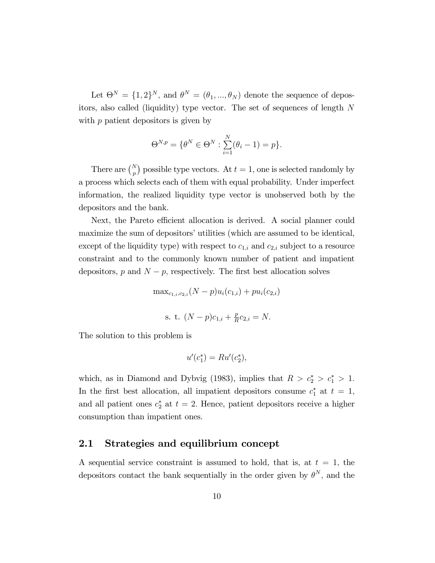Let  $\Theta^N = \{1, 2\}^N$ , and  $\theta^N = (\theta_1, ..., \theta_N)$  denote the sequence of depositors, also called (liquidity) type vector. The set of sequences of length N with  $p$  patient depositors is given by

$$
\Theta^{N,p} = \{ \theta^N \in \Theta^N : \sum_{i=1}^N (\theta_i - 1) = p \}.
$$

There are  $\binom{N}{p}$  possible type vectors. At  $t = 1$ , one is selected randomly by a process which selects each of them with equal probability. Under imperfect information, the realized liquidity type vector is unobserved both by the depositors and the bank.

Next, the Pareto efficient allocation is derived. A social planner could maximize the sum of depositors' utilities (which are assumed to be identical, except of the liquidity type) with respect to  $c_{1,i}$  and  $c_{2,i}$  subject to a resource constraint and to the commonly known number of patient and impatient depositors,  $p$  and  $N - p$ , respectively. The first best allocation solves

$$
\max_{c_{1,i}, c_{2,i}} (N-p)u_i(c_{1,i}) + pu_i(c_{2,i})
$$
  
s. t.  $(N-p)c_{1,i} + \frac{p}{R}c_{2,i} = N.$ 

The solution to this problem is

$$
u'(c_1^*) = Ru'(c_2^*),
$$

which, as in Diamond and Dybvig (1983), implies that  $R > c_2^* > c_1^* > 1$ . In the first best allocation, all impatient depositors consume  $c_1^*$  at  $t = 1$ , and all patient ones  $c_2^*$  at  $t = 2$ . Hence, patient depositors receive a higher consumption than impatient ones.

#### 2.1 Strategies and equilibrium concept

A sequential service constraint is assumed to hold, that is, at  $t = 1$ , the depositors contact the bank sequentially in the order given by  $\theta^N$ , and the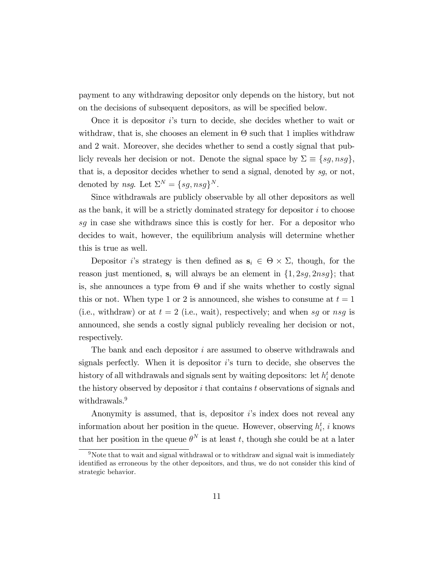payment to any withdrawing depositor only depends on the history, but not on the decisions of subsequent depositors, as will be specified below.

Once it is depositor  $i$ 's turn to decide, she decides whether to wait or withdraw, that is, she chooses an element in  $\Theta$  such that 1 implies withdraw and 2 wait. Moreover, she decides whether to send a costly signal that publicly reveals her decision or not. Denote the signal space by  $\Sigma \equiv \{sg, nsg\}$ , that is, a depositor decides whether to send a signal, denoted by sg, or not, denoted by *nsg*. Let  $\Sigma^N = \{sg, nsg\}^N$ .

Since withdrawals are publicly observable by all other depositors as well as the bank, it will be a strictly dominated strategy for depositor  $i$  to choose sg in case she withdraws since this is costly for her. For a depositor who decides to wait, however, the equilibrium analysis will determine whether this is true as well.

Depositor *i*'s strategy is then defined as  $\mathbf{s}_i \in \Theta \times \Sigma$ , though, for the reason just mentioned,  $s_i$  will always be an element in  $\{1, 2sg, 2nsg\}$ ; that is, she announces a type from  $\Theta$  and if she waits whether to costly signal this or not. When type 1 or 2 is announced, she wishes to consume at  $t = 1$ (i.e., withdraw) or at  $t = 2$  (i.e., wait), respectively; and when sg or nsg is announced, she sends a costly signal publicly revealing her decision or not, respectively.

The bank and each depositor i are assumed to observe withdrawals and signals perfectly. When it is depositor  $i$ 's turn to decide, she observes the history of all withdrawals and signals sent by waiting depositors: let  $h_i^t$  denote the history observed by depositor i that contains t observations of signals and withdrawals.<sup>9</sup>

Anonymity is assumed, that is, depositor  $i$ 's index does not reveal any information about her position in the queue. However, observing  $h_i^t$ , i knows that her position in the queue  $\theta^N$  is at least t, though she could be at a later

 $9N$ ote that to wait and signal withdrawal or to withdraw and signal wait is immediately identified as erroneous by the other depositors, and thus, we do not consider this kind of strategic behavior.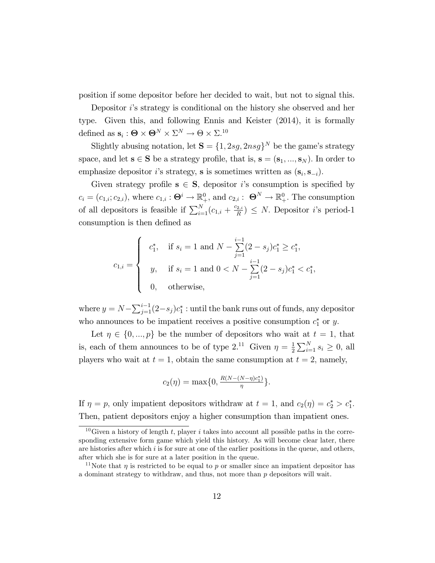position if some depositor before her decided to wait, but not to signal this.

Depositor is strategy is conditional on the history she observed and her type. Given this, and following Ennis and Keister (2014), it is formally defined as  $\mathbf{s}_i : \mathbf{\Theta} \times \mathbf{\Theta}^N \times \Sigma^N \to \mathbf{\Theta} \times \Sigma^{10}$ 

Slightly abusing notation, let  $\mathbf{S} = \{1, 2sg, 2nsg\}^N$  be the game's strategy space, and let  $s \in S$  be a strategy profile, that is,  $s = (s_1, ..., s_N)$ . In order to emphasize depositor *i*'s strategy, **s** is sometimes written as  $(\mathbf{s}_i, \mathbf{s}_{-i})$ .

Given strategy profile  $s \in S$ , depositor *i*'s consumption is specified by  $c_i = (c_{1,i}; c_{2,i}),$  where  $c_{1,i} : \mathbf{\Theta}^i \to \mathbb{R}^0_+$ , and  $c_{2,i} : \mathbf{\Theta}^N \to \mathbb{R}^0_+$ . The consumption of all depositors is feasible if  $\sum_{i=1}^{N} (c_{1,i} + \frac{c_{2,i}}{R})$  $\left(\frac{2i}{R}\right) \leq N$ . Depositor *i*'s period-1 consumption is then defined as

$$
c_{1,i} = \begin{cases} c_1^*, & \text{if } s_i = 1 \text{ and } N - \sum_{j=1}^{i-1} (2 - s_j) c_1^* \ge c_1^*, \\ y, & \text{if } s_i = 1 \text{ and } 0 < N - \sum_{j=1}^{i-1} (2 - s_j) c_1^* < c_1^*, \\ 0, & \text{otherwise,} \end{cases}
$$

where  $y = N - \sum_{j=1}^{i-1} (2 - s_j) c_1^*$  : until the bank runs out of funds, any depositor who announces to be impatient receives a positive consumption  $c_1^*$  or y.

Let  $\eta \in \{0, ..., p\}$  be the number of depositors who wait at  $t = 1$ , that is, each of them announces to be of type 2.<sup>11</sup> Given  $\eta = \frac{1}{2}$  $\frac{1}{2} \sum_{i=1}^{N} s_i \ge 0$ , all players who wait at  $t = 1$ , obtain the same consumption at  $t = 2$ , namely,

$$
c_2(\eta) = \max\{0, \frac{R(N - (N - \eta)c_1^*)}{\eta}\}.
$$

If  $\eta = p$ , only impatient depositors withdraw at  $t = 1$ , and  $c_2(\eta) = c_2^* > c_1^*$ . Then, patient depositors enjoy a higher consumption than impatient ones.

<sup>&</sup>lt;sup>10</sup>Given a history of length t, player i takes into account all possible paths in the corresponding extensive form game which yield this history. As will become clear later, there are histories after which  $i$  is for sure at one of the earlier positions in the queue, and others, after which she is for sure at a later position in the queue.

<sup>&</sup>lt;sup>11</sup>Note that  $\eta$  is restricted to be equal to p or smaller since an impatient depositor has a dominant strategy to withdraw, and thus, not more than  $p$  depositors will wait.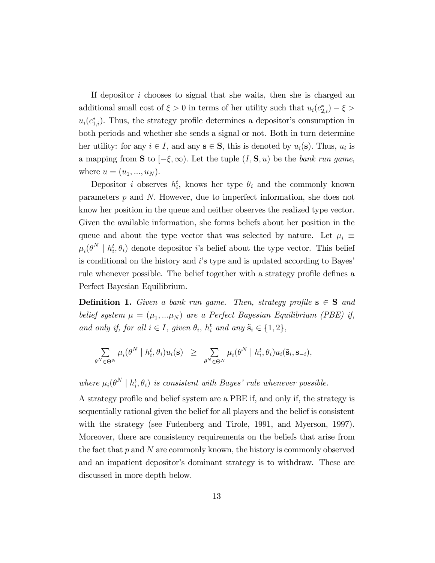If depositor i chooses to signal that she waits, then she is charged an additional small cost of  $\xi > 0$  in terms of her utility such that  $u_i(c_{2,i}^*) - \xi >$  $u_i(c_{1,i}^*)$ . Thus, the strategy profile determines a depositor's consumption in both periods and whether she sends a signal or not. Both in turn determine her utility: for any  $i \in I$ , and any  $\mathbf{s} \in \mathbf{S}$ , this is denoted by  $u_i(\mathbf{s})$ . Thus,  $u_i$  is a mapping from **S** to  $[-\xi, \infty)$ . Let the tuple  $(I, S, u)$  be the bank run game, where  $u = (u_1, ..., u_N)$ .

Depositor *i* observes  $h_i^t$ , knows her type  $\theta_i$  and the commonly known parameters  $p$  and  $N$ . However, due to imperfect information, she does not know her position in the queue and neither observes the realized type vector. Given the available information, she forms beliefs about her position in the queue and about the type vector that was selected by nature. Let  $\mu_i \equiv$  $\mu_i(\theta^N \mid h_i^t, \theta_i)$  denote depositor *i*'s belief about the type vector. This belief is conditional on the history and  $i$ 's type and is updated according to Bayes' rule whenever possible. The belief together with a strategy profile defines a Perfect Bayesian Equilibrium.

**Definition 1.** Given a bank run game. Then, strategy profile  $s \in S$  and belief system  $\mu = (\mu_1, \ldots \mu_N)$  are a Perfect Bayesian Equilibrium (PBE) if, and only if, for all  $i \in I$ , given  $\theta_i$ ,  $h_i^t$  and any  $\tilde{\mathbf{s}}_i \in \{1,2\}$ ,

$$
\sum_{\theta^N\in\Theta^N}\mu_i(\theta^N\mid h_i^t,\theta_i)u_i(\mathbf{s})\;\;\geq\;\;\sum_{\theta^N\in\Theta^N}\mu_i(\theta^N\mid h_i^t,\theta_i)u_i(\mathbf{\tilde{s}}_i,\mathbf{s}_{-i}),
$$

where  $\mu_i(\theta^N \mid h_i^t, \theta_i)$  is consistent with Bayes' rule whenever possible.

A strategy profile and belief system are a PBE if, and only if, the strategy is sequentially rational given the belief for all players and the belief is consistent with the strategy (see Fudenberg and Tirole, 1991, and Myerson, 1997). Moreover, there are consistency requirements on the beliefs that arise from the fact that  $p$  and  $N$  are commonly known, the history is commonly observed and an impatient depositor's dominant strategy is to withdraw. These are discussed in more depth below.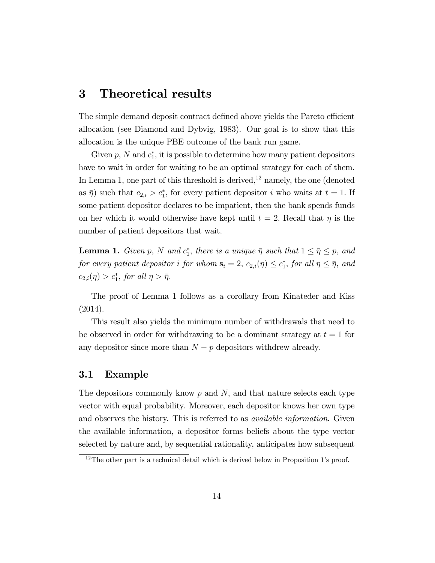## 3 Theoretical results

The simple demand deposit contract defined above yields the Pareto efficient allocation (see Diamond and Dybvig, 1983). Our goal is to show that this allocation is the unique PBE outcome of the bank run game.

Given  $p$ , N and  $c_1^*$ , it is possible to determine how many patient depositors have to wait in order for waiting to be an optimal strategy for each of them. In Lemma 1, one part of this threshold is derived, $^{12}$  namely, the one (denoted as  $\bar{\eta}$ ) such that  $c_{2,i} > c_1^*$ , for every patient depositor i who waits at  $t = 1$ . If some patient depositor declares to be impatient, then the bank spends funds on her which it would otherwise have kept until  $t = 2$ . Recall that  $\eta$  is the number of patient depositors that wait.

**Lemma 1.** Given p, N and  $c_1^*$ , there is a unique  $\bar{\eta}$  such that  $1 \le \bar{\eta} \le p$ , and for every patient depositor i for whom  $\mathbf{s}_i = 2$ ,  $c_{2,i}(\eta) \le c_1^*$ , for all  $\eta \le \bar{\eta}$ , and  $c_{2,i}(\eta) > c_1^*$ , for all  $\eta > \bar{\eta}$ .

The proof of Lemma 1 follows as a corollary from Kinateder and Kiss (2014).

This result also yields the minimum number of withdrawals that need to be observed in order for withdrawing to be a dominant strategy at  $t = 1$  for any depositor since more than  $N - p$  depositors withdrew already.

#### 3.1 Example

The depositors commonly know  $p$  and  $N$ , and that nature selects each type vector with equal probability. Moreover, each depositor knows her own type and observes the history. This is referred to as available information. Given the available information, a depositor forms beliefs about the type vector selected by nature and, by sequential rationality, anticipates how subsequent

 $12$ The other part is a technical detail which is derived below in Proposition 1's proof.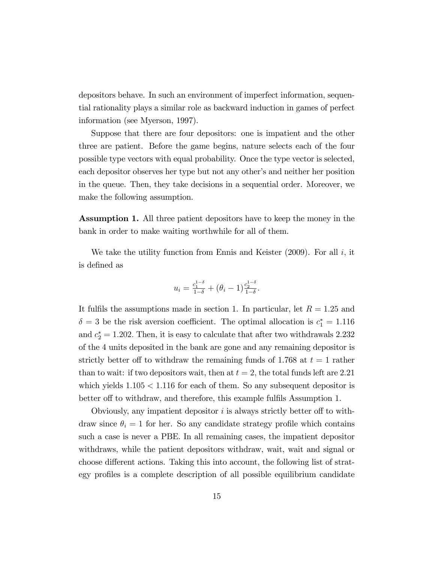depositors behave. In such an environment of imperfect information, sequential rationality plays a similar role as backward induction in games of perfect information (see Myerson, 1997).

Suppose that there are four depositors: one is impatient and the other three are patient. Before the game begins, nature selects each of the four possible type vectors with equal probability. Once the type vector is selected, each depositor observes her type but not any other's and neither her position in the queue. Then, they take decisions in a sequential order. Moreover, we make the following assumption.

Assumption 1. All three patient depositors have to keep the money in the bank in order to make waiting worthwhile for all of them.

We take the utility function from Ennis and Keister  $(2009)$ . For all i, it is defined as

$$
u_i = \frac{c_1^{1-\delta}}{1-\delta} + (\theta_i - 1) \frac{c_2^{1-\delta}}{1-\delta}.
$$

It fulfils the assumptions made in section 1. In particular, let  $R = 1.25$  and  $\delta = 3$  be the risk aversion coefficient. The optimal allocation is  $c_1^* = 1.116$ and  $c_2^* = 1.202$ . Then, it is easy to calculate that after two withdrawals 2.232 of the 4 units deposited in the bank are gone and any remaining depositor is strictly better off to withdraw the remaining funds of 1.768 at  $t = 1$  rather than to wait: if two depositors wait, then at  $t = 2$ , the total funds left are 2.21 which yields  $1.105 < 1.116$  for each of them. So any subsequent depositor is better off to withdraw, and therefore, this example fulfils Assumption 1.

Obviously, any impatient depositor  $i$  is always strictly better off to withdraw since  $\theta_i = 1$  for her. So any candidate strategy profile which contains such a case is never a PBE. In all remaining cases, the impatient depositor withdraws, while the patient depositors withdraw, wait, wait and signal or choose different actions. Taking this into account, the following list of strategy profiles is a complete description of all possible equilibrium candidate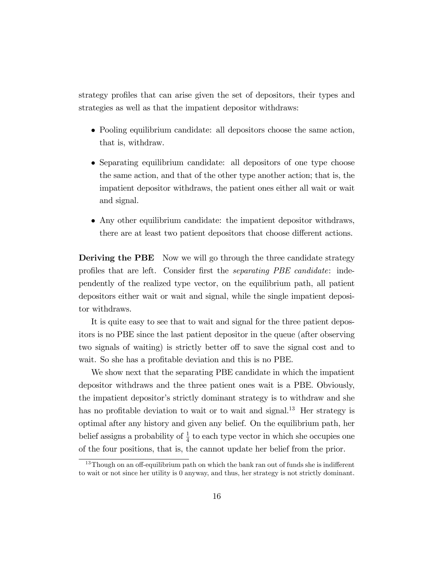strategy profiles that can arise given the set of depositors, their types and strategies as well as that the impatient depositor withdraws:

- Pooling equilibrium candidate: all depositors choose the same action, that is, withdraw.
- Separating equilibrium candidate: all depositors of one type choose the same action, and that of the other type another action; that is, the impatient depositor withdraws, the patient ones either all wait or wait and signal.
- Any other equilibrium candidate: the impatient depositor withdraws, there are at least two patient depositors that choose different actions.

**Deriving the PBE** Now we will go through the three candidate strategy profiles that are left. Consider first the *separating PBE candidate*: independently of the realized type vector, on the equilibrium path, all patient depositors either wait or wait and signal, while the single impatient depositor withdraws.

It is quite easy to see that to wait and signal for the three patient depositors is no PBE since the last patient depositor in the queue (after observing two signals of waiting) is strictly better of to save the signal cost and to wait. So she has a profitable deviation and this is no PBE.

We show next that the separating PBE candidate in which the impatient depositor withdraws and the three patient ones wait is a PBE. Obviously, the impatient depositor's strictly dominant strategy is to withdraw and she has no profitable deviation to wait or to wait and signal.<sup>13</sup> Her strategy is optimal after any history and given any belief. On the equilibrium path, her belief assigns a probability of  $\frac{1}{4}$  to each type vector in which she occupies one of the four positions, that is, the cannot update her belief from the prior.

 $13$ Though on an off-equilibrium path on which the bank ran out of funds she is indifferent to wait or not since her utility is 0 anyway, and thus, her strategy is not strictly dominant.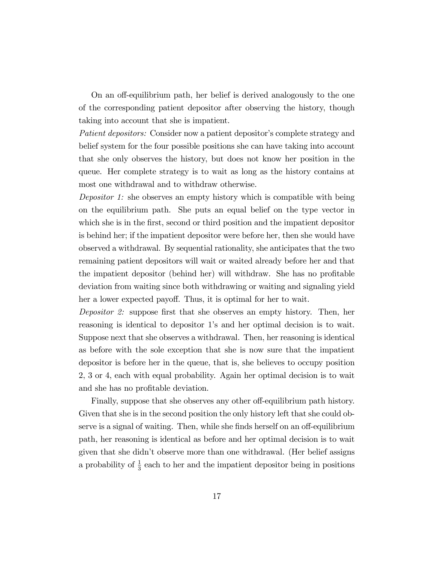On an off-equilibrium path, her belief is derived analogously to the one of the corresponding patient depositor after observing the history, though taking into account that she is impatient.

Patient depositors: Consider now a patient depositor's complete strategy and belief system for the four possible positions she can have taking into account that she only observes the history, but does not know her position in the queue. Her complete strategy is to wait as long as the history contains at most one withdrawal and to withdraw otherwise.

Depositor 1: she observes an empty history which is compatible with being on the equilibrium path. She puts an equal belief on the type vector in which she is in the first, second or third position and the impatient depositor is behind her; if the impatient depositor were before her, then she would have observed a withdrawal. By sequential rationality, she anticipates that the two remaining patient depositors will wait or waited already before her and that the impatient depositor (behind her) will withdraw. She has no profitable deviation from waiting since both withdrawing or waiting and signaling yield her a lower expected payoff. Thus, it is optimal for her to wait.

Depositor 2: suppose first that she observes an empty history. Then, her reasoning is identical to depositor 1's and her optimal decision is to wait. Suppose next that she observes a withdrawal. Then, her reasoning is identical as before with the sole exception that she is now sure that the impatient depositor is before her in the queue, that is, she believes to occupy position 2, 3 or 4, each with equal probability. Again her optimal decision is to wait and she has no profitable deviation.

Finally, suppose that she observes any other off-equilibrium path history. Given that she is in the second position the only history left that she could observe is a signal of waiting. Then, while she finds herself on an off-equilibrium path, her reasoning is identical as before and her optimal decision is to wait given that she didnít observe more than one withdrawal. (Her belief assigns a probability of  $\frac{1}{3}$  each to her and the impatient depositor being in positions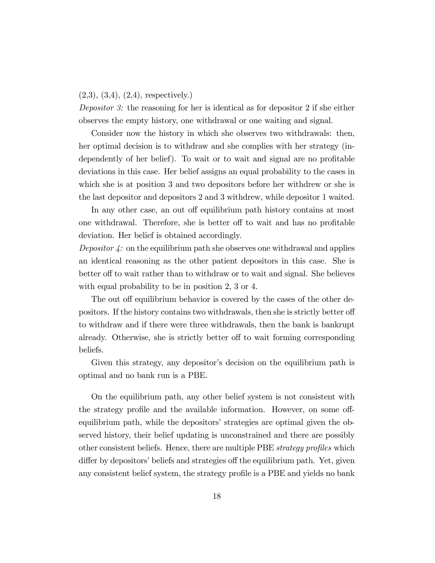#### $(2,3), (3,4), (2,4),$  respectively.)

Depositor 3: the reasoning for her is identical as for depositor 2 if she either observes the empty history, one withdrawal or one waiting and signal.

Consider now the history in which she observes two withdrawals: then, her optimal decision is to withdraw and she complies with her strategy (independently of her belief). To wait or to wait and signal are no profitable deviations in this case. Her belief assigns an equal probability to the cases in which she is at position 3 and two depositors before her withdrew or she is the last depositor and depositors 2 and 3 withdrew, while depositor 1 waited.

In any other case, an out off equilibrium path history contains at most one withdrawal. Therefore, she is better off to wait and has no profitable deviation. Her belief is obtained accordingly.

Depositor  $\lambda$ : on the equilibrium path she observes one withdrawal and applies an identical reasoning as the other patient depositors in this case. She is better off to wait rather than to withdraw or to wait and signal. She believes with equal probability to be in position 2, 3 or 4.

The out off equilibrium behavior is covered by the cases of the other depositors. If the history contains two withdrawals, then she is strictly better off to withdraw and if there were three withdrawals, then the bank is bankrupt already. Otherwise, she is strictly better off to wait forming corresponding beliefs.

Given this strategy, any depositor's decision on the equilibrium path is optimal and no bank run is a PBE.

On the equilibrium path, any other belief system is not consistent with the strategy profile and the available information. However, on some offequilibrium path, while the depositors' strategies are optimal given the observed history, their belief updating is unconstrained and there are possibly other consistent beliefs. Hence, there are multiple PBE *strategy profiles* which differ by depositors' beliefs and strategies off the equilibrium path. Yet, given any consistent belief system, the strategy profile is a PBE and yields no bank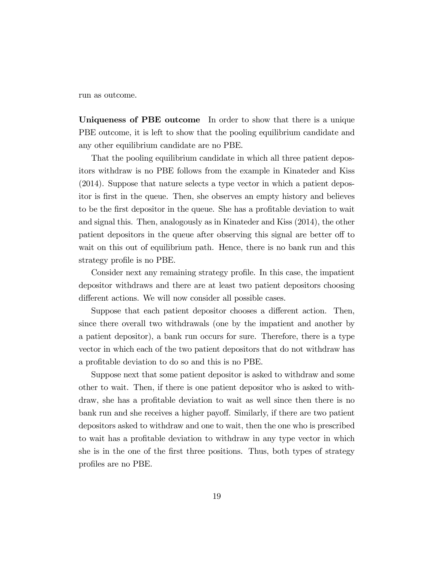run as outcome.

Uniqueness of PBE outcome In order to show that there is a unique PBE outcome, it is left to show that the pooling equilibrium candidate and any other equilibrium candidate are no PBE.

That the pooling equilibrium candidate in which all three patient depositors withdraw is no PBE follows from the example in Kinateder and Kiss (2014). Suppose that nature selects a type vector in which a patient depositor is first in the queue. Then, she observes an empty history and believes to be the first depositor in the queue. She has a profitable deviation to wait and signal this. Then, analogously as in Kinateder and Kiss (2014), the other patient depositors in the queue after observing this signal are better off to wait on this out of equilibrium path. Hence, there is no bank run and this strategy profile is no PBE.

Consider next any remaining strategy profile. In this case, the impatient depositor withdraws and there are at least two patient depositors choosing different actions. We will now consider all possible cases.

Suppose that each patient depositor chooses a different action. Then, since there overall two withdrawals (one by the impatient and another by a patient depositor), a bank run occurs for sure. Therefore, there is a type vector in which each of the two patient depositors that do not withdraw has a profitable deviation to do so and this is no PBE.

Suppose next that some patient depositor is asked to withdraw and some other to wait. Then, if there is one patient depositor who is asked to withdraw, she has a profitable deviation to wait as well since then there is no bank run and she receives a higher payoff. Similarly, if there are two patient depositors asked to withdraw and one to wait, then the one who is prescribed to wait has a profitable deviation to withdraw in any type vector in which she is in the one of the first three positions. Thus, both types of strategy profiles are no PBE.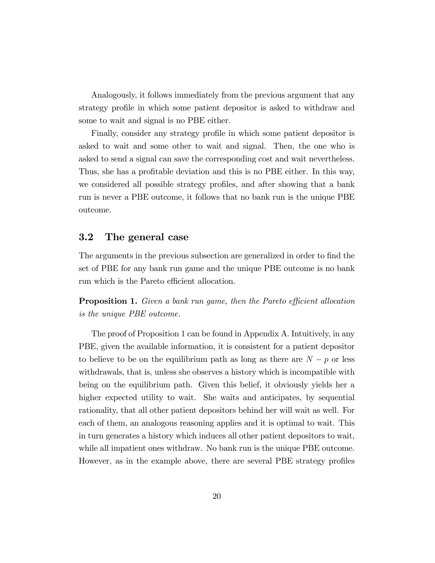Analogously, it follows immediately from the previous argument that any strategy profile in which some patient depositor is asked to withdraw and some to wait and signal is no PBE either.

Finally, consider any strategy profile in which some patient depositor is asked to wait and some other to wait and signal. Then, the one who is asked to send a signal can save the corresponding cost and wait nevertheless. Thus, she has a profitable deviation and this is no PBE either. In this way, we considered all possible strategy profiles, and after showing that a bank run is never a PBE outcome, it follows that no bank run is the unique PBE outcome.

#### 3.2 The general case

The arguments in the previous subsection are generalized in order to find the set of PBE for any bank run game and the unique PBE outcome is no bank run which is the Pareto efficient allocation.

**Proposition 1.** Given a bank run game, then the Pareto efficient allocation is the unique PBE outcome.

The proof of Proposition 1 can be found in Appendix A. Intuitively, in any PBE, given the available information, it is consistent for a patient depositor to believe to be on the equilibrium path as long as there are  $N - p$  or less withdrawals, that is, unless she observes a history which is incompatible with being on the equilibrium path. Given this belief, it obviously yields her a higher expected utility to wait. She waits and anticipates, by sequential rationality, that all other patient depositors behind her will wait as well. For each of them, an analogous reasoning applies and it is optimal to wait. This in turn generates a history which induces all other patient depositors to wait, while all impatient ones withdraw. No bank run is the unique PBE outcome. However, as in the example above, there are several PBE strategy profiles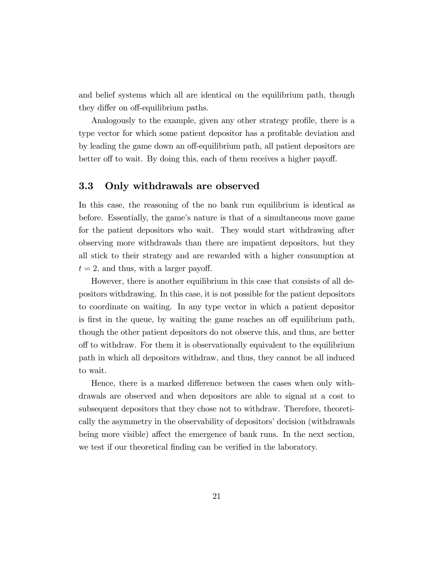and belief systems which all are identical on the equilibrium path, though they differ on off-equilibrium paths.

Analogously to the example, given any other strategy profile, there is a type vector for which some patient depositor has a profitable deviation and by leading the game down an off-equilibrium path, all patient depositors are better of to wait. By doing this, each of them receives a higher payoff.

#### 3.3 Only withdrawals are observed

In this case, the reasoning of the no bank run equilibrium is identical as before. Essentially, the game's nature is that of a simultaneous move game for the patient depositors who wait. They would start withdrawing after observing more withdrawals than there are impatient depositors, but they all stick to their strategy and are rewarded with a higher consumption at  $t = 2$ , and thus, with a larger payoff.

However, there is another equilibrium in this case that consists of all depositors withdrawing. In this case, it is not possible for the patient depositors to coordinate on waiting. In any type vector in which a patient depositor is first in the queue, by waiting the game reaches an off equilibrium path, though the other patient depositors do not observe this, and thus, are better o§ to withdraw. For them it is observationally equivalent to the equilibrium path in which all depositors withdraw, and thus, they cannot be all induced to wait.

Hence, there is a marked difference between the cases when only withdrawals are observed and when depositors are able to signal at a cost to subsequent depositors that they chose not to withdraw. Therefore, theoretically the asymmetry in the observability of depositors' decision (withdrawals being more visible) affect the emergence of bank runs. In the next section, we test if our theoretical finding can be verified in the laboratory.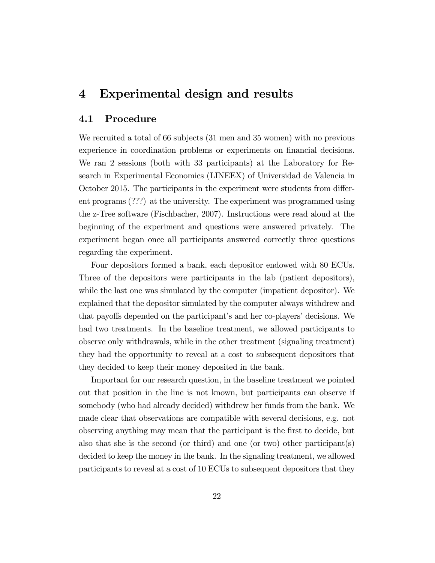## 4 Experimental design and results

#### 4.1 Procedure

We recruited a total of 66 subjects (31 men and 35 women) with no previous experience in coordination problems or experiments on financial decisions. We ran 2 sessions (both with 33 participants) at the Laboratory for Research in Experimental Economics (LINEEX) of Universidad de Valencia in October 2015. The participants in the experiment were students from different programs (???) at the university. The experiment was programmed using the z-Tree software (Fischbacher, 2007). Instructions were read aloud at the beginning of the experiment and questions were answered privately. The experiment began once all participants answered correctly three questions regarding the experiment.

Four depositors formed a bank, each depositor endowed with 80 ECUs. Three of the depositors were participants in the lab (patient depositors), while the last one was simulated by the computer (impatient depositor). We explained that the depositor simulated by the computer always withdrew and that payoffs depended on the participant's and her co-players' decisions. We had two treatments. In the baseline treatment, we allowed participants to observe only withdrawals, while in the other treatment (signaling treatment) they had the opportunity to reveal at a cost to subsequent depositors that they decided to keep their money deposited in the bank.

Important for our research question, in the baseline treatment we pointed out that position in the line is not known, but participants can observe if somebody (who had already decided) withdrew her funds from the bank. We made clear that observations are compatible with several decisions, e.g. not observing anything may mean that the participant is the Örst to decide, but also that she is the second (or third) and one (or two) other participant(s) decided to keep the money in the bank. In the signaling treatment, we allowed participants to reveal at a cost of 10 ECUs to subsequent depositors that they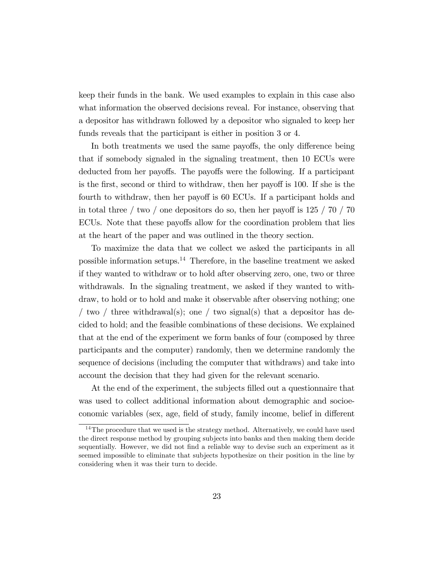keep their funds in the bank. We used examples to explain in this case also what information the observed decisions reveal. For instance, observing that a depositor has withdrawn followed by a depositor who signaled to keep her funds reveals that the participant is either in position 3 or 4.

In both treatments we used the same payoffs, the only difference being that if somebody signaled in the signaling treatment, then 10 ECUs were deducted from her payoffs. The payoffs were the following. If a participant is the first, second or third to withdraw, then her payoff is 100. If she is the fourth to withdraw, then her payoff is 60 ECUs. If a participant holds and in total three / two / one depositors do so, then her payoff is  $125/70/70$ ECUs. Note that these payoffs allow for the coordination problem that lies at the heart of the paper and was outlined in the theory section.

To maximize the data that we collect we asked the participants in all possible information setups.<sup>14</sup> Therefore, in the baseline treatment we asked if they wanted to withdraw or to hold after observing zero, one, two or three withdrawals. In the signaling treatment, we asked if they wanted to withdraw, to hold or to hold and make it observable after observing nothing; one / two / three withdrawal(s); one / two signal(s) that a depositor has decided to hold; and the feasible combinations of these decisions. We explained that at the end of the experiment we form banks of four (composed by three participants and the computer) randomly, then we determine randomly the sequence of decisions (including the computer that withdraws) and take into account the decision that they had given for the relevant scenario.

At the end of the experiment, the subjects filled out a questionnaire that was used to collect additional information about demographic and socioeconomic variables (sex, age, field of study, family income, belief in different

<sup>&</sup>lt;sup>14</sup>The procedure that we used is the strategy method. Alternatively, we could have used the direct response method by grouping subjects into banks and then making them decide sequentially. However, we did not find a reliable way to devise such an experiment as it seemed impossible to eliminate that subjects hypothesize on their position in the line by considering when it was their turn to decide.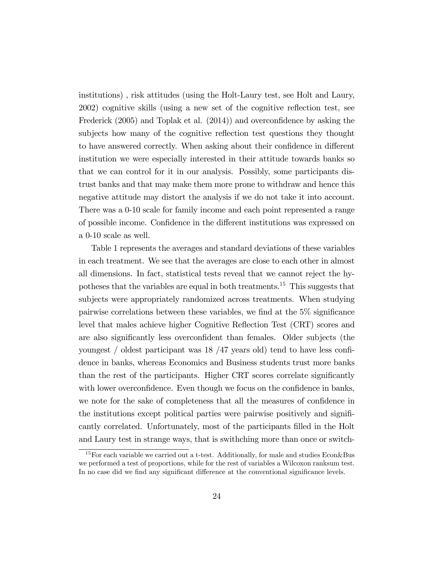institutions) , risk attitudes (using the Holt-Laury test, see Holt and Laury,  $2002$ ) cognitive skills (using a new set of the cognitive reflection test, see Frederick  $(2005)$  and Toplak et al.  $(2014)$  and overconfidence by asking the subjects how many of the cognitive reflection test questions they thought to have answered correctly. When asking about their confidence in different institution we were especially interested in their attitude towards banks so that we can control for it in our analysis. Possibly, some participants distrust banks and that may make them more prone to withdraw and hence this negative attitude may distort the analysis if we do not take it into account. There was a 0-10 scale for family income and each point represented a range of possible income. Confidence in the different institutions was expressed on a 0-10 scale as well.

Table 1 represents the averages and standard deviations of these variables in each treatment. We see that the averages are close to each other in almost all dimensions. In fact, statistical tests reveal that we cannot reject the hypotheses that the variables are equal in both treatments.<sup>15</sup> This suggests that subjects were appropriately randomized across treatments. When studying pairwise correlations between these variables, we find at the  $5\%$  significance level that males achieve higher Cognitive Reflection Test (CRT) scores and are also significantly less overconfident than females. Older subjects (the youngest  $\prime$  oldest participant was 18  $/47$  years old) tend to have less confidence in banks, whereas Economics and Business students trust more banks than the rest of the participants. Higher CRT scores correlate significantly with lower overconfidence. Even though we focus on the confidence in banks, we note for the sake of completeness that all the measures of confidence in the institutions except political parties were pairwise positively and significantly correlated. Unfortunately, most of the participants Ölled in the Holt and Laury test in strange ways, that is swithching more than once or switch-

<sup>&</sup>lt;sup>15</sup> For each variable we carried out a t-test. Additionally, for male and studies  $Econ\&B$ Bus we performed a test of proportions, while for the rest of variables a Wilcoxon ranksum test. In no case did we find any significant difference at the conventional significance levels.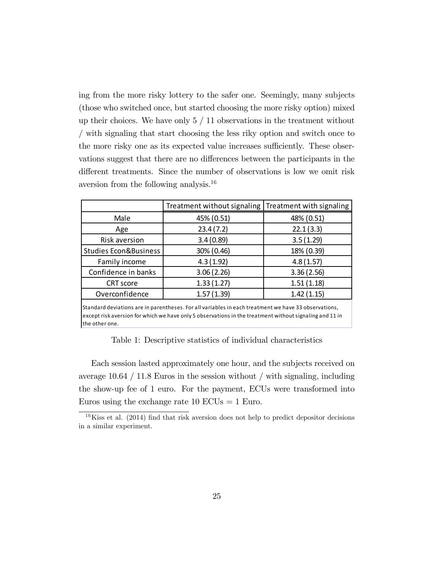ing from the more risky lottery to the safer one. Seemingly, many subjects (those who switched once, but started choosing the more risky option) mixed up their choices. We have only  $5 / 11$  observations in the treatment without / with signaling that start choosing the less riky option and switch once to the more risky one as its expected value increases sufficiently. These observations suggest that there are no differences between the participants in the different treatments. Since the number of observations is low we omit risk aversion from the following analysis.<sup>16</sup>

|                       | Treatment without signaling   Treatment with signaling |            |  |  |  |
|-----------------------|--------------------------------------------------------|------------|--|--|--|
| Male                  | 45% (0.51)                                             | 48% (0.51) |  |  |  |
| Age                   | 23.4(7.2)                                              | 22.1(3.3)  |  |  |  |
| <b>Risk aversion</b>  | 3.4(0.89)                                              | 3.5(1.29)  |  |  |  |
| Studies Econ&Business | 30% (0.46)                                             | 18% (0.39) |  |  |  |
| Family income         | 4.3(1.92)                                              | 4.8(1.57)  |  |  |  |
| Confidence in banks   | 3.06(2.26)                                             | 3.36(2.56) |  |  |  |
| <b>CRT</b> score      | 1.33(1.27)                                             | 1.51(1.18) |  |  |  |
| Overconfidence        | 1.57(1.39)                                             | 1.42(1.15) |  |  |  |

Standard deviations are in parentheses. For all variables in each treatment we have 33 observations, except risk aversion for which we have only 5 observations in the treatment without signaling and 11 in the other one.

Table 1: Descriptive statistics of individual characteristics

Each session lasted approximately one hour, and the subjects received on average 10.64 / 11.8 Euros in the session without / with signaling, including the show-up fee of 1 euro. For the payment, ECUs were transformed into Euros using the exchange rate  $10$  ECUs = 1 Euro.

 $16$ Kiss et al. (2014) find that risk aversion does not help to predict depositor decisions in a similar experiment.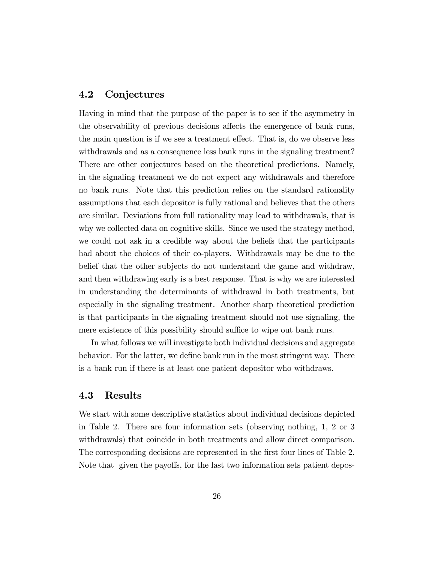#### 4.2 Conjectures

Having in mind that the purpose of the paper is to see if the asymmetry in the observability of previous decisions affects the emergence of bank runs, the main question is if we see a treatment effect. That is, do we observe less withdrawals and as a consequence less bank runs in the signaling treatment? There are other conjectures based on the theoretical predictions. Namely, in the signaling treatment we do not expect any withdrawals and therefore no bank runs. Note that this prediction relies on the standard rationality assumptions that each depositor is fully rational and believes that the others are similar. Deviations from full rationality may lead to withdrawals, that is why we collected data on cognitive skills. Since we used the strategy method, we could not ask in a credible way about the beliefs that the participants had about the choices of their co-players. Withdrawals may be due to the belief that the other subjects do not understand the game and withdraw, and then withdrawing early is a best response. That is why we are interested in understanding the determinants of withdrawal in both treatments, but especially in the signaling treatment. Another sharp theoretical prediction is that participants in the signaling treatment should not use signaling, the mere existence of this possibility should suffice to wipe out bank runs.

In what follows we will investigate both individual decisions and aggregate behavior. For the latter, we define bank run in the most stringent way. There is a bank run if there is at least one patient depositor who withdraws.

#### 4.3 Results

We start with some descriptive statistics about individual decisions depicted in Table 2. There are four information sets (observing nothing, 1, 2 or 3 withdrawals) that coincide in both treatments and allow direct comparison. The corresponding decisions are represented in the first four lines of Table 2. Note that given the payoffs, for the last two information sets patient depos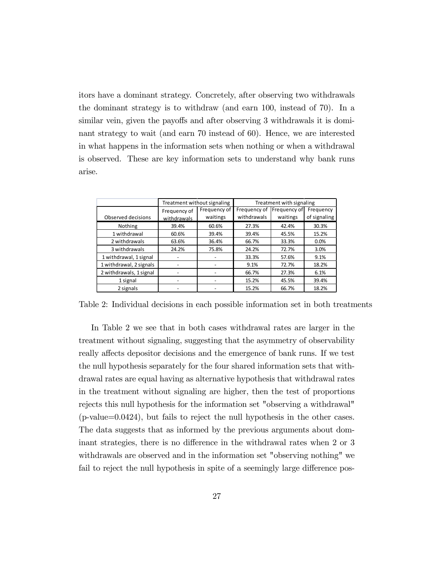itors have a dominant strategy. Concretely, after observing two withdrawals the dominant strategy is to withdraw (and earn 100, instead of 70). In a similar vein, given the payoffs and after observing 3 withdrawals it is dominant strategy to wait (and earn 70 instead of 60). Hence, we are interested in what happens in the information sets when nothing or when a withdrawal is observed. These are key information sets to understand why bank runs arise.

|                         | Treatment without signaling |              | Treatment with signaling |              |              |  |  |  |  |
|-------------------------|-----------------------------|--------------|--------------------------|--------------|--------------|--|--|--|--|
|                         | Frequency of                | Frequency of | Frequency of             | Frequency of | Frequency    |  |  |  |  |
| Observed decisions      | withdrawals                 | waitings     | withdrawals              | waitings     | of signaling |  |  |  |  |
| Nothing                 | 39.4%                       | 60.6%        | 27.3%                    | 42.4%        | 30.3%        |  |  |  |  |
| 1 withdrawal            | 60.6%                       | 39.4%        | 39.4%                    | 45.5%        | 15.2%        |  |  |  |  |
| 2 withdrawals           | 63.6%                       | 36.4%        | 66.7%                    | 33.3%        | 0.0%         |  |  |  |  |
| 3 withdrawals           | 24.2%                       | 75.8%        | 24.2%                    | 72.7%        | 3.0%         |  |  |  |  |
| 1 withdrawal, 1 signal  |                             |              | 33.3%                    | 57.6%        | 9.1%         |  |  |  |  |
| 1 withdrawal, 2 signals |                             |              | 9.1%                     | 72.7%        | 18.2%        |  |  |  |  |
| 2 withdrawals, 1 signal |                             |              | 66.7%                    | 27.3%        | 6.1%         |  |  |  |  |
| 1 signal                |                             |              | 15.2%                    | 45.5%        | 39.4%        |  |  |  |  |
| 2 signals               |                             |              | 15.2%                    | 66.7%        | 18.2%        |  |  |  |  |

Table 2: Individual decisions in each possible information set in both treatments

In Table 2 we see that in both cases withdrawal rates are larger in the treatment without signaling, suggesting that the asymmetry of observability really affects depositor decisions and the emergence of bank runs. If we test the null hypothesis separately for the four shared information sets that withdrawal rates are equal having as alternative hypothesis that withdrawal rates in the treatment without signaling are higher, then the test of proportions rejects this null hypothesis for the information set "observing a withdrawal" (p-value=0.0424), but fails to reject the null hypothesis in the other cases. The data suggests that as informed by the previous arguments about dominant strategies, there is no difference in the withdrawal rates when 2 or 3 withdrawals are observed and in the information set "observing nothing" we fail to reject the null hypothesis in spite of a seemingly large difference pos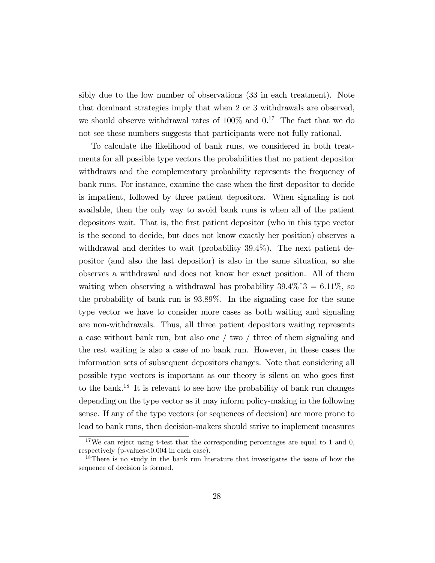sibly due to the low number of observations (33 in each treatment). Note that dominant strategies imply that when 2 or 3 withdrawals are observed, we should observe withdrawal rates of  $100\%$  and  $0<sup>17</sup>$ . The fact that we do not see these numbers suggests that participants were not fully rational.

To calculate the likelihood of bank runs, we considered in both treatments for all possible type vectors the probabilities that no patient depositor withdraws and the complementary probability represents the frequency of bank runs. For instance, examine the case when the first depositor to decide is impatient, followed by three patient depositors. When signaling is not available, then the only way to avoid bank runs is when all of the patient depositors wait. That is, the first patient depositor (who in this type vector is the second to decide, but does not know exactly her position) observes a withdrawal and decides to wait (probability 39.4%). The next patient depositor (and also the last depositor) is also in the same situation, so she observes a withdrawal and does not know her exact position. All of them waiting when observing a withdrawal has probability  $39.4\%$   $3 = 6.11\%$ , so the probability of bank run is 93:89%. In the signaling case for the same type vector we have to consider more cases as both waiting and signaling are non-withdrawals. Thus, all three patient depositors waiting represents a case without bank run, but also one / two / three of them signaling and the rest waiting is also a case of no bank run. However, in these cases the information sets of subsequent depositors changes. Note that considering all possible type vectors is important as our theory is silent on who goes first to the bank.<sup>18</sup> It is relevant to see how the probability of bank run changes depending on the type vector as it may inform policy-making in the following sense. If any of the type vectors (or sequences of decision) are more prone to lead to bank runs, then decision-makers should strive to implement measures

 $17$ We can reject using t-test that the corresponding percentages are equal to 1 and 0, respectively (p-values<0.004 in each case).

<sup>&</sup>lt;sup>18</sup>There is no study in the bank run literature that investigates the issue of how the sequence of decision is formed.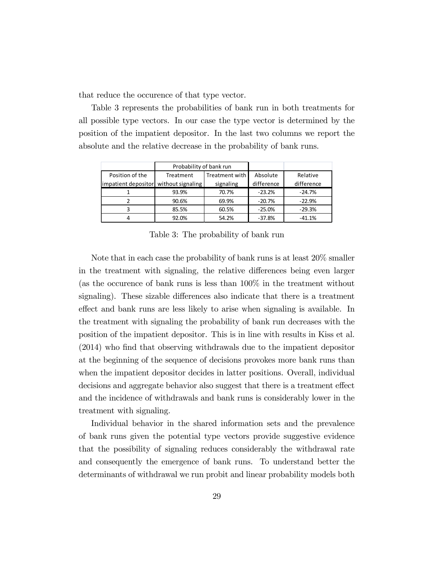that reduce the occurence of that type vector.

Table 3 represents the probabilities of bank run in both treatments for all possible type vectors. In our case the type vector is determined by the position of the impatient depositor. In the last two columns we report the absolute and the relative decrease in the probability of bank runs.

|                                       | Probability of bank run     |       |            |            |  |
|---------------------------------------|-----------------------------|-------|------------|------------|--|
| Position of the                       | Treatment with<br>Treatment |       | Absolute   | Relative   |  |
| impatient depositor without signaling | signaling                   |       | difference | difference |  |
|                                       | 93.9%                       | 70.7% | $-23.2%$   | $-24.7%$   |  |
|                                       | 90.6%                       | 69.9% | $-20.7%$   | $-22.9%$   |  |
|                                       | 85.5%                       | 60.5% | $-25.0%$   | $-29.3%$   |  |
| 4                                     | 92.0%                       | 54.2% | $-37.8%$   | $-41.1%$   |  |

Table 3: The probability of bank run

Note that in each case the probability of bank runs is at least 20% smaller in the treatment with signaling, the relative differences being even larger (as the occurence of bank runs is less than 100% in the treatment without signaling). These sizable differences also indicate that there is a treatment effect and bank runs are less likely to arise when signaling is available. In the treatment with signaling the probability of bank run decreases with the position of the impatient depositor. This is in line with results in Kiss et al.  $(2014)$  who find that observing withdrawals due to the impatient depositor at the beginning of the sequence of decisions provokes more bank runs than when the impatient depositor decides in latter positions. Overall, individual decisions and aggregate behavior also suggest that there is a treatment effect and the incidence of withdrawals and bank runs is considerably lower in the treatment with signaling.

Individual behavior in the shared information sets and the prevalence of bank runs given the potential type vectors provide suggestive evidence that the possibility of signaling reduces considerably the withdrawal rate and consequently the emergence of bank runs. To understand better the determinants of withdrawal we run probit and linear probability models both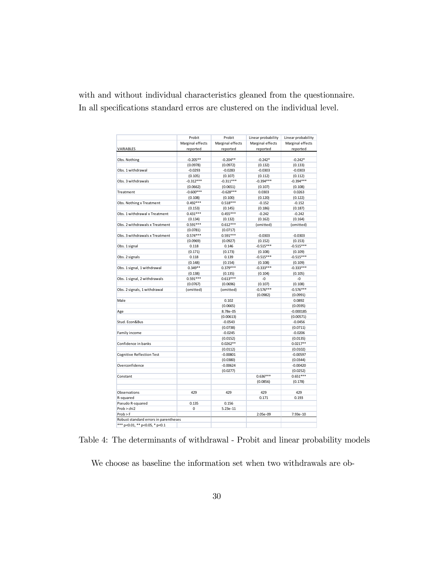with and without individual characteristics gleaned from the questionnaire. In all specifications standard erros are clustered on the individual level.

|                                       | Probit           | Probit           | Linear probability | Linear probability |  |  |
|---------------------------------------|------------------|------------------|--------------------|--------------------|--|--|
|                                       | Marginal effects | Marginal effects | Marginal effects   | Marginal effects   |  |  |
| VARIABLES                             | reported         | reported         | reported           | reported           |  |  |
|                                       |                  |                  |                    |                    |  |  |
| Obs. Nothing                          | $-0.205**$       | $-0.204**$       | $-0.242*$          | $-0.242*$          |  |  |
|                                       | (0.0978)         | (0.0972)         | (0.132)            | (0.133)            |  |  |
| Obs. 1 withdrawal                     | $-0.0293$        | $-0.0283$        | $-0.0303$          | $-0.0303$          |  |  |
|                                       | (0.105)          | (0.107)          | (0.112)            | (0.112)            |  |  |
| Obs. 3 withdrawals                    | $-0.312***$      | $-0.311***$      | $-0.394***$        | $-0.394***$        |  |  |
|                                       | (0.0662)         | (0.0651)         | (0.107)            | (0.108)            |  |  |
| Treatment                             | $-0.600***$      | $-0.628***$      | 0.0303             | 0.0263             |  |  |
|                                       | (0.108)          | (0.100)          | (0.120)            | (0.122)            |  |  |
| Obs. Nothing x Treatment              | $0.492***$       | $0.518***$       | $-0.152$           | $-0.152$           |  |  |
|                                       | (0.153)          | (0.145)          | (0.186)            | (0.187)            |  |  |
| Obs. 1 withdrawal x Treatment         | $0.431***$       | $0.455***$       | $-0.242$           | $-0.242$           |  |  |
|                                       | (0.134)          | (0.132)          | (0.162)            | (0.164)            |  |  |
| Obs. 2 withdrawals x Treatment        | $0.591***$       | $0.612***$       | (omitted)          | (omitted)          |  |  |
|                                       | (0.0781)         | (0.0717)         |                    |                    |  |  |
| Obs. 3 withdrawals x Treatment        | $0.574***$       | $0.591***$       | $-0.0303$          | $-0.0303$          |  |  |
|                                       | (0.0969)         | (0.0927)         | (0.152)            | (0.153)            |  |  |
| Obs. 1 signal                         | 0.118            | 0.146            | $-0.515***$        | $-0.515***$        |  |  |
|                                       | (0.171)          | (0.173)          | (0.108)            | (0.109)            |  |  |
| Obs. 2 signals                        | 0.118            | 0.139            | $-0.515***$        | $-0.515***$        |  |  |
|                                       | (0.148)          | (0.154)          | (0.108)            | (0.109)            |  |  |
| Obs. 1 signal, 1 withdrawal           | $0.349**$        | $0.379***$       | $-0.333***$        | $-0.333***$        |  |  |
|                                       | (0.138)          | (0.135)          | (0.104)            | (0.105)            |  |  |
| Obs. 1 signal, 2 withdrawals          | $0.591***$       | $0.613***$       | $-0$               | $-0$               |  |  |
|                                       | (0.0767)         | (0.0696)         | (0.107)            | (0.108)            |  |  |
| Obs. 2 signals, 1 withdrawal          | (omitted)        | (omitted)        | $-0.576***$        | $-0.576***$        |  |  |
|                                       |                  |                  | (0.0982)           | (0.0991)           |  |  |
| Male                                  |                  | 0.102            |                    | 0.0892             |  |  |
|                                       |                  | (0.0665)         |                    | (0.0595)           |  |  |
| Age                                   |                  | 8.78e-05         |                    | $-0.000185$        |  |  |
|                                       |                  | (0.00613)        |                    | (0.00571)          |  |  |
| Stud. Econ&Bus                        |                  | $-0.0543$        |                    | $-0.0456$          |  |  |
|                                       |                  | (0.0738)         |                    | (0.0711)           |  |  |
| Family income                         |                  | $-0.0245$        |                    | $-0.0206$          |  |  |
|                                       |                  | (0.0152)         |                    | (0.0135)           |  |  |
| Confidence in banks                   |                  | $0.0262**$       |                    | $0.0217**$         |  |  |
|                                       |                  | (0.0112)         |                    | (0.0102)           |  |  |
| <b>Cognitive Reflection Test</b>      |                  | $-0.00801$       |                    | $-0.00597$         |  |  |
|                                       |                  | (0.0380)         |                    | (0.0344)           |  |  |
| Overconfidence                        |                  | $-0.00624$       |                    | $-0.00420$         |  |  |
|                                       |                  | (0.0277)         |                    | (0.0252)           |  |  |
| Constant                              |                  |                  | $0.636***$         | $0.651***$         |  |  |
|                                       |                  |                  | (0.0856)           | (0.178)            |  |  |
|                                       |                  |                  |                    |                    |  |  |
| Observations                          | 429              | 429              | 429                | 429                |  |  |
| R-squared                             |                  |                  | 0.171              | 0.193              |  |  |
| Pseudo R-squared                      | 0.135            | 0.156            |                    |                    |  |  |
| Prob > chi2                           | $\Omega$         | $5.23e-11$       |                    |                    |  |  |
| $Prob$ > F                            |                  |                  | 2.05e-09           | 7.93e-10           |  |  |
| Robust standard errors in parentheses |                  |                  |                    |                    |  |  |
| *** p<0.01, ** p<0.05, * p<0.1        |                  |                  |                    |                    |  |  |

Table 4: The determinants of withdrawal - Probit and linear probability models

We choose as baseline the information set when two withdrawals are ob-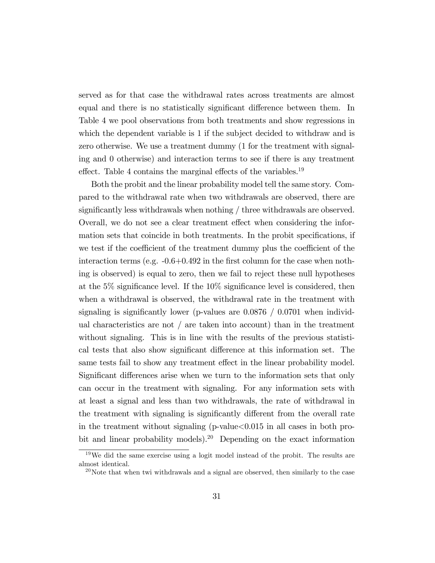served as for that case the withdrawal rates across treatments are almost equal and there is no statistically significant difference between them. In Table 4 we pool observations from both treatments and show regressions in which the dependent variable is 1 if the subject decided to withdraw and is zero otherwise. We use a treatment dummy (1 for the treatment with signaling and 0 otherwise) and interaction terms to see if there is any treatment effect. Table 4 contains the marginal effects of the variables.<sup>19</sup>

Both the probit and the linear probability model tell the same story. Compared to the withdrawal rate when two withdrawals are observed, there are significantly less withdrawals when nothing  $/$  three withdrawals are observed. Overall, we do not see a clear treatment effect when considering the information sets that coincide in both treatments. In the probit specifications, if we test if the coefficient of the treatment dummy plus the coefficient of the interaction terms (e.g.  $-0.6+0.492$  in the first column for the case when nothing is observed) is equal to zero, then we fail to reject these null hypotheses at the  $5\%$  significance level. If the  $10\%$  significance level is considered, then when a withdrawal is observed, the withdrawal rate in the treatment with signaling is significantly lower (p-values are  $0.0876 / 0.0701$  when individual characteristics are not  $\ell$  are taken into account) than in the treatment without signaling. This is in line with the results of the previous statistical tests that also show significant difference at this information set. The same tests fail to show any treatment effect in the linear probability model. Significant differences arise when we turn to the information sets that only can occur in the treatment with signaling. For any information sets with at least a signal and less than two withdrawals, the rate of withdrawal in the treatment with signaling is significantly different from the overall rate in the treatment without signaling  $(p$ -value $< 0.015$  in all cases in both probit and linear probability models).<sup>20</sup> Depending on the exact information

<sup>19</sup>We did the same exercise using a logit model instead of the probit. The results are almost identical.

 $^{20}$ Note that when twi withdrawals and a signal are observed, then similarly to the case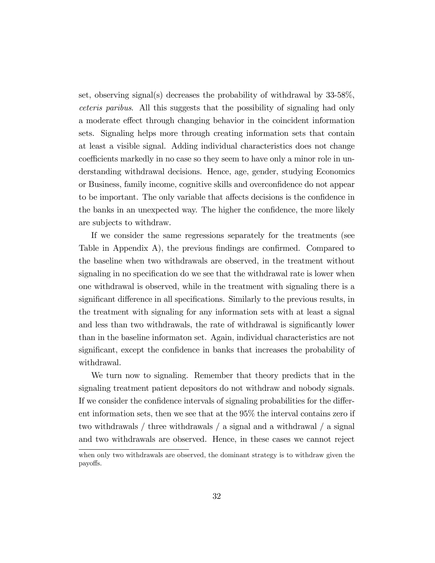set, observing signal(s) decreases the probability of withdrawal by 33-58%, ceteris paribus. All this suggests that the possibility of signaling had only a moderate effect through changing behavior in the coincident information sets. Signaling helps more through creating information sets that contain at least a visible signal. Adding individual characteristics does not change coefficients markedly in no case so they seem to have only a minor role in understanding withdrawal decisions. Hence, age, gender, studying Economics or Business, family income, cognitive skills and overconfidence do not appear to be important. The only variable that affects decisions is the confidence in the banks in an unexpected way. The higher the confidence, the more likely are subjects to withdraw.

If we consider the same regressions separately for the treatments (see Table in Appendix A), the previous findings are confirmed. Compared to the baseline when two withdrawals are observed, in the treatment without signaling in no specification do we see that the withdrawal rate is lower when one withdrawal is observed, while in the treatment with signaling there is a significant difference in all specifications. Similarly to the previous results, in the treatment with signaling for any information sets with at least a signal and less than two withdrawals, the rate of withdrawal is significantly lower than in the baseline informaton set. Again, individual characteristics are not significant, except the confidence in banks that increases the probability of withdrawal.

We turn now to signaling. Remember that theory predicts that in the signaling treatment patient depositors do not withdraw and nobody signals. If we consider the confidence intervals of signaling probabilities for the different information sets, then we see that at the 95% the interval contains zero if two withdrawals / three withdrawals / a signal and a withdrawal / a signal and two withdrawals are observed. Hence, in these cases we cannot reject

when only two withdrawals are observed, the dominant strategy is to withdraw given the payo§s.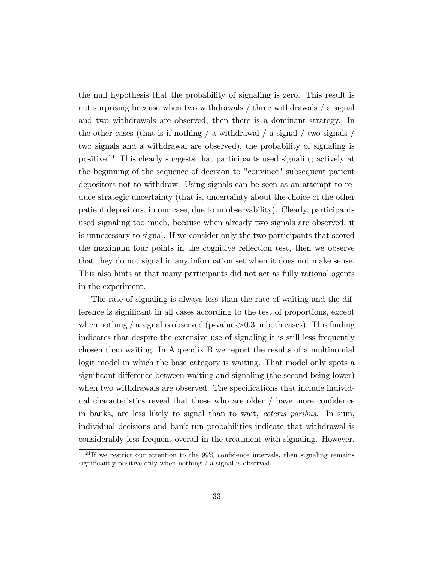the null hypothesis that the probability of signaling is zero. This result is not surprising because when two withdrawals / three withdrawals / a signal and two withdrawals are observed, then there is a dominant strategy. In the other cases (that is if nothing / a withdrawal / a signal / two signals / two signals and a withdrawal are observed), the probability of signaling is positive.<sup>21</sup> This clearly suggests that participants used signaling actively at the beginning of the sequence of decision to "convince" subsequent patient depositors not to withdraw. Using signals can be seen as an attempt to reduce strategic uncertainty (that is, uncertainty about the choice of the other patient depositors, in our case, due to unobservability). Clearly, participants used signaling too much, because when already two signals are observed, it is unnecessary to signal. If we consider only the two participants that scored the maximum four points in the cognitive reflection test, then we observe that they do not signal in any information set when it does not make sense. This also hints at that many participants did not act as fully rational agents in the experiment.

The rate of signaling is always less than the rate of waiting and the difference is significant in all cases according to the test of proportions, except when nothing  $\ell$  a signal is observed (p-values $>0.3$  in both cases). This finding indicates that despite the extensive use of signaling it is still less frequently chosen than waiting. In Appendix B we report the results of a multinomial logit model in which the base category is waiting. That model only spots a significant difference between waiting and signaling (the second being lower) when two withdrawals are observed. The specifications that include individual characteristics reveal that those who are older  $/$  have more confidence in banks, are less likely to signal than to wait, ceteris paribus. In sum, individual decisions and bank run probabilities indicate that withdrawal is considerably less frequent overall in the treatment with signaling. However,

 $^{21}$ If we restrict our attention to the 99% confidence intervals, then signaling remains significantly positive only when nothing  $/$  a signal is observed.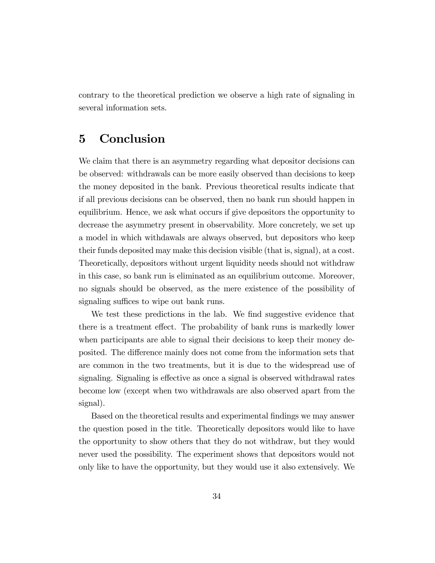contrary to the theoretical prediction we observe a high rate of signaling in several information sets.

## 5 Conclusion

We claim that there is an asymmetry regarding what depositor decisions can be observed: withdrawals can be more easily observed than decisions to keep the money deposited in the bank. Previous theoretical results indicate that if all previous decisions can be observed, then no bank run should happen in equilibrium. Hence, we ask what occurs if give depositors the opportunity to decrease the asymmetry present in observability. More concretely, we set up a model in which withdawals are always observed, but depositors who keep their funds deposited may make this decision visible (that is, signal), at a cost. Theoretically, depositors without urgent liquidity needs should not withdraw in this case, so bank run is eliminated as an equilibrium outcome. Moreover, no signals should be observed, as the mere existence of the possibility of signaling suffices to wipe out bank runs.

We test these predictions in the lab. We find suggestive evidence that there is a treatment effect. The probability of bank runs is markedly lower when participants are able to signal their decisions to keep their money deposited. The difference mainly does not come from the information sets that are common in the two treatments, but it is due to the widespread use of signaling. Signaling is effective as once a signal is observed withdrawal rates become low (except when two withdrawals are also observed apart from the signal).

Based on the theoretical results and experimental Öndings we may answer the question posed in the title. Theoretically depositors would like to have the opportunity to show others that they do not withdraw, but they would never used the possibility. The experiment shows that depositors would not only like to have the opportunity, but they would use it also extensively. We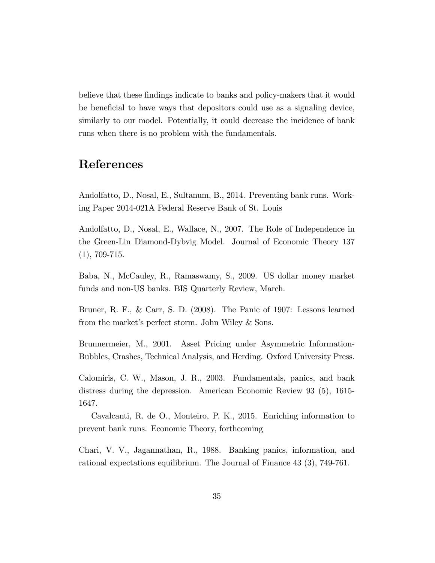believe that these findings indicate to banks and policy-makers that it would be beneficial to have ways that depositors could use as a signaling device, similarly to our model. Potentially, it could decrease the incidence of bank runs when there is no problem with the fundamentals.

## References

Andolfatto, D., Nosal, E., Sultanum, B., 2014. Preventing bank runs. Working Paper 2014-021A Federal Reserve Bank of St. Louis

Andolfatto, D., Nosal, E., Wallace, N., 2007. The Role of Independence in the Green-Lin Diamond-Dybvig Model. Journal of Economic Theory 137  $(1), 709-715.$ 

Baba, N., McCauley, R., Ramaswamy, S., 2009. US dollar money market funds and non-US banks. BIS Quarterly Review, March.

Bruner, R. F., & Carr, S. D. (2008). The Panic of 1907: Lessons learned from the market's perfect storm. John Wiley & Sons.

Brunnermeier, M., 2001. Asset Pricing under Asymmetric Information-Bubbles, Crashes, Technical Analysis, and Herding. Oxford University Press.

Calomiris, C. W., Mason, J. R., 2003. Fundamentals, panics, and bank distress during the depression. American Economic Review 93 (5), 1615- 1647.

Cavalcanti, R. de O., Monteiro, P. K., 2015. Enriching information to prevent bank runs. Economic Theory, forthcoming

Chari, V. V., Jagannathan, R., 1988. Banking panics, information, and rational expectations equilibrium. The Journal of Finance 43 (3), 749-761.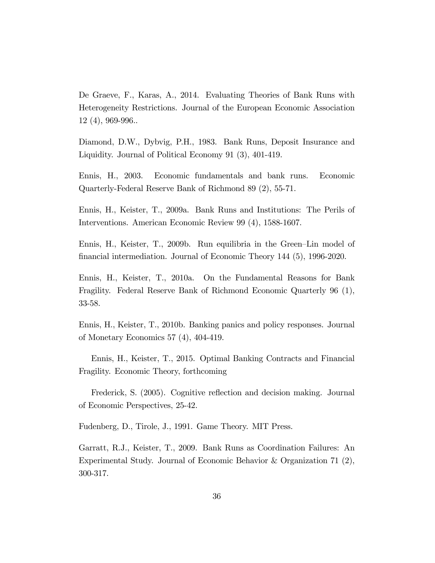De Graeve, F., Karas, A., 2014. Evaluating Theories of Bank Runs with Heterogeneity Restrictions. Journal of the European Economic Association 12 (4), 969-996..

Diamond, D.W., Dybvig, P.H., 1983. Bank Runs, Deposit Insurance and Liquidity. Journal of Political Economy 91 (3), 401-419.

Ennis, H., 2003. Economic fundamentals and bank runs. Economic Quarterly-Federal Reserve Bank of Richmond 89 (2), 55-71.

Ennis, H., Keister, T., 2009a. Bank Runs and Institutions: The Perils of Interventions. American Economic Review 99 (4), 1588-1607.

Ennis, H., Keister, T., 2009b. Run equilibria in the Green-Lin model of Önancial intermediation. Journal of Economic Theory 144 (5), 1996-2020.

Ennis, H., Keister, T., 2010a. On the Fundamental Reasons for Bank Fragility. Federal Reserve Bank of Richmond Economic Quarterly 96 (1), 33-58.

Ennis, H., Keister, T., 2010b. Banking panics and policy responses. Journal of Monetary Economics 57 (4), 404-419.

Ennis, H., Keister, T., 2015. Optimal Banking Contracts and Financial Fragility. Economic Theory, forthcoming

Frederick, S. (2005). Cognitive reflection and decision making. Journal of Economic Perspectives, 25-42.

Fudenberg, D., Tirole, J., 1991. Game Theory. MIT Press.

Garratt, R.J., Keister, T., 2009. Bank Runs as Coordination Failures: An Experimental Study. Journal of Economic Behavior & Organization 71 (2), 300-317.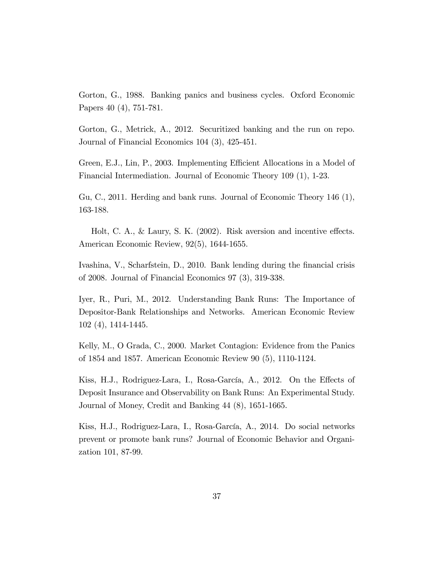Gorton, G., 1988. Banking panics and business cycles. Oxford Economic Papers 40 (4), 751-781.

Gorton, G., Metrick, A., 2012. Securitized banking and the run on repo. Journal of Financial Economics 104 (3), 425-451.

Green, E.J., Lin, P., 2003. Implementing Efficient Allocations in a Model of Financial Intermediation. Journal of Economic Theory 109 (1), 1-23.

Gu, C., 2011. Herding and bank runs. Journal of Economic Theory 146 (1), 163-188.

Holt, C. A.,  $\&$  Laury, S. K. (2002). Risk aversion and incentive effects. American Economic Review, 92(5), 1644-1655.

Ivashina, V., Scharfstein, D., 2010. Bank lending during the financial crisis of 2008. Journal of Financial Economics 97 (3), 319-338.

Iyer, R., Puri, M., 2012. Understanding Bank Runs: The Importance of Depositor-Bank Relationships and Networks. American Economic Review 102 (4), 1414-1445.

Kelly, M., O Grada, C., 2000. Market Contagion: Evidence from the Panics of 1854 and 1857. American Economic Review 90 (5), 1110-1124.

Kiss, H.J., Rodriguez-Lara, I., Rosa-García, A., 2012. On the Effects of Deposit Insurance and Observability on Bank Runs: An Experimental Study. Journal of Money, Credit and Banking 44 (8), 1651-1665.

Kiss, H.J., Rodriguez-Lara, I., Rosa-García, A., 2014. Do social networks prevent or promote bank runs? Journal of Economic Behavior and Organization 101, 87-99.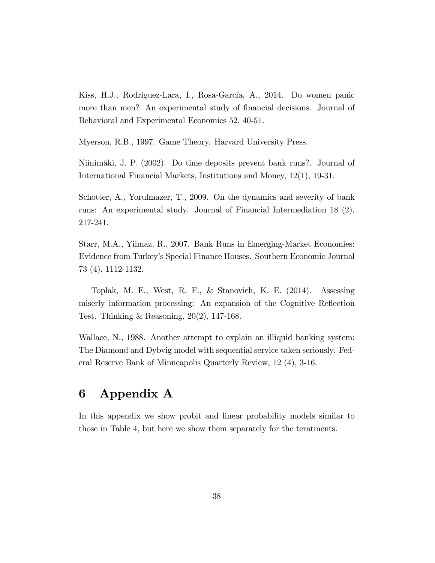Kiss, H.J., Rodriguez-Lara, I., Rosa-García, A., 2014. Do women panic more than men? An experimental study of financial decisions. Journal of Behavioral and Experimental Economics 52, 40-51.

Myerson, R.B., 1997. Game Theory. Harvard University Press.

Niinimäki, J. P. (2002). Do time deposits prevent bank runs?. Journal of International Financial Markets, Institutions and Money, 12(1), 19-31.

Schotter, A., Yorulmazer, T., 2009. On the dynamics and severity of bank runs: An experimental study. Journal of Financial Intermediation 18 (2), 217-241.

Starr, M.A., Yilmaz, R., 2007. Bank Runs in Emerging-Market Economies: Evidence from Turkeyís Special Finance Houses. Southern Economic Journal 73 (4), 1112-1132.

Toplak, M. E., West, R. F., & Stanovich, K. E. (2014). Assessing miserly information processing: An expansion of the Cognitive Reflection Test. Thinking & Reasoning, 20(2), 147-168.

Wallace, N., 1988. Another attempt to explain an illiquid banking system: The Diamond and Dybvig model with sequential service taken seriously. Federal Reserve Bank of Minneapolis Quarterly Review, 12 (4), 3-16.

## 6 Appendix A

In this appendix we show probit and linear probability models similar to those in Table 4, but here we show them separately for the teratments.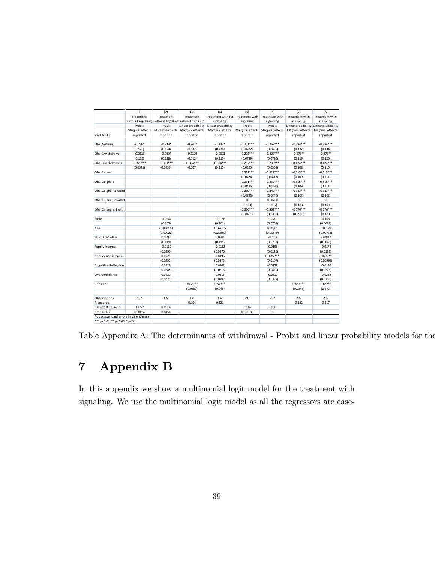|                                       | (1)         | (2)                                                    | (3)                                                   | (4)                              | (5)          | (6)                               | (7)              | (8)                                   |
|---------------------------------------|-------------|--------------------------------------------------------|-------------------------------------------------------|----------------------------------|--------------|-----------------------------------|------------------|---------------------------------------|
|                                       | Treatment   | Treatment                                              | Treatment                                             | Treatment without Treatment with |              | Treatment with                    | Treatment with   | Treatment with                        |
|                                       |             |                                                        | without signaling without signaling without signaling | signaling                        | signaling    | signaling                         | signaling        | signaling                             |
|                                       | Probit      | Probit                                                 | Linear probability                                    | Linear probability               | Probit       | Probit                            |                  | Linear probability Linear probability |
|                                       |             | Marginal effects   Marginal effects   Marginal effects |                                                       | Marginal effects                 |              | Marginal effects Marginal effects | Marginal effects | Marginal effects                      |
| VARIABLES                             | reported    | reported                                               | reported                                              | reported                         | reported     | reported                          | reported         | reported                              |
|                                       |             |                                                        |                                                       |                                  |              |                                   |                  |                                       |
| Obs. Nothing                          | $-0.236*$   | $-0.239*$                                              | $-0.242*$                                             | $-0.242*$                        | $-0.271***$  | $-0.269***$                       | $-0.394***$      | $-0.394***$                           |
|                                       | (0.123)     | (0.124)                                                | (0.132)                                               | (0.136)                          | (0.0732)     | (0.0655)                          | (0.132)          | (0.134)                               |
| Obs. 1 withdrawal                     | $-0.0316$   | $-0.0304$                                              | $-0.0303$                                             | $-0.0303$                        | $-0.205***$  | $-0.209***$                       | $-0.273**$       | $-0.273**$                            |
|                                       | (0.115)     | (0.118)                                                | (0.112)                                               | (0.115)                          | (0.0739)     | (0.0720)                          | (0.119)          | (0.120)                               |
| Obs. 3 withdrawals                    | $-0.378***$ | $-0.383***$                                            | $-0.394***$                                           | $-0.394***$                      | $-0.287***$  | $-0.288***$                       | $-0.424***$      | $-0.424***$                           |
|                                       | (0.0932)    | (0.0936)                                               | (0.107)                                               | (0.110)                          | (0.0555)     | (0.0504)                          | (0.108)          | (0.110)                               |
| Obs. 1 signal                         |             |                                                        |                                                       |                                  | $-0.331***$  | $-0.329***$                       | $-0.515***$      | $-0.515***$                           |
|                                       |             |                                                        |                                                       |                                  | (0.0474)     | (0.0412)                          | (0.109)          | (0.111)                               |
| Obs. 2 signals                        |             |                                                        |                                                       |                                  | $-0.331***$  | $-0.330***$                       | $-0.515***$      | $-0.515***$                           |
|                                       |             |                                                        |                                                       |                                  | (0.0436)     | (0.0390)                          | (0.109)          | (0.111)                               |
| Obs. 1 signal, 1 withdr               |             |                                                        |                                                       |                                  | $-0.239***$  | $-0.240***$                       | $-0.333***$      | $-0.333***$                           |
|                                       |             |                                                        |                                                       |                                  | (0.0643)     | (0.0579)                          | (0.105)          | (0.106)                               |
| Obs. 1 signal, 2 withdr               |             |                                                        |                                                       |                                  | $\mathbf{0}$ | 0.00260                           | $-0$             | $-0$                                  |
|                                       |             |                                                        |                                                       |                                  | (0.103)      | (0.107)                           | (0.108)          | (0.109)                               |
| Obs. 2 signals, 1 withd               |             |                                                        |                                                       |                                  | $-0.360***$  | $-0.362***$                       | $-0.576***$      | $-0.576***$                           |
|                                       |             |                                                        |                                                       |                                  | (0.0401)     | (0.0390)                          | (0.0990)         | (0.100)                               |
| Male                                  |             | $-0.0147$                                              |                                                       | $-0.0136$                        |              | 0.120                             |                  | 0.108                                 |
|                                       |             | (0.105)                                                |                                                       | (0.101)                          |              | (0.0762)                          |                  | (0.0698)                              |
| Age                                   |             | $-0.000143$                                            |                                                       | 1.16e-05                         |              | 0.00261                           |                  | 0.00183                               |
|                                       |             | (0.00921)                                              |                                                       | (0.00859)                        |              | (0.00849)                         |                  | (0.00738)                             |
| Stud. Econ&Bus                        |             | 0.0597                                                 |                                                       | 0.0501                           |              | $-0.103$                          |                  | $-0.0847$                             |
|                                       |             | (0.119)                                                |                                                       | (0.115)                          |              | (0.0797)                          |                  | (0.0840)                              |
| Family income                         |             | $-0.0130$                                              |                                                       | $-0.0112$                        |              | $-0.0196$                         |                  | $-0.0174$                             |
|                                       |             | (0.0290)                                               |                                                       | (0.0276)                         |              | (0.0226)                          |                  | (0.0193)                              |
| Confidence in banks                   |             | 0.0221                                                 |                                                       | 0.0196                           |              | $0.0287***$                       |                  | $0.0237**$                            |
|                                       |             | (0.0292)                                               |                                                       | (0.0275)                         |              | (0.0107)                          |                  | (0.00998)                             |
| Cognitive Reflection 1                |             | 0.0129                                                 |                                                       | 0.0142                           |              | $-0.0159$                         |                  | $-0.0140$                             |
|                                       |             | (0.0545)                                               |                                                       | (0.0513)                         |              | (0.0420)                          |                  | (0.0375)                              |
| Overconfidence                        |             | 0.0327                                                 |                                                       | 0.0315                           |              | $-0.0310$                         |                  | $-0.0262$                             |
|                                       |             | (0.0421)                                               |                                                       | (0.0392)                         |              | (0.0359)                          |                  | (0.0316)                              |
| Constant                              |             |                                                        | $0.636***$                                            | $0.547**$                        |              |                                   | $0.667***$       | $0.652**$                             |
|                                       |             |                                                        | (0.0860)                                              | (0.245)                          |              |                                   | (0.0845)         | (0.272)                               |
|                                       |             |                                                        |                                                       |                                  |              |                                   |                  |                                       |
| Observations                          | 132         | 132                                                    | 132                                                   | 132                              | 297          | 297                               | 297              | 297                                   |
| R-squared                             |             |                                                        | 0.104                                                 | 0.121                            |              |                                   | 0.182            | 0.217                                 |
| Pseudo R-squared                      | 0.0777      | 0.0914                                                 |                                                       |                                  | 0.146        | 0.180                             |                  |                                       |
| Prob > chi2                           | 0.00434     | 0.0456                                                 |                                                       |                                  | 8.50e-09     | 0                                 |                  |                                       |
| Robust standard errors in parentheses |             |                                                        |                                                       |                                  |              |                                   |                  |                                       |
| *** p<0.01, ** p<0.05, * p<0.1        |             |                                                        |                                                       |                                  |              |                                   |                  |                                       |

Table Appendix A: The determinants of withdrawal - Probit and linear probability models for the

# 7 Appendix B

In this appendix we show a multinomial logit model for the treatment with signaling. We use the multinomial logit model as all the regressors are case-